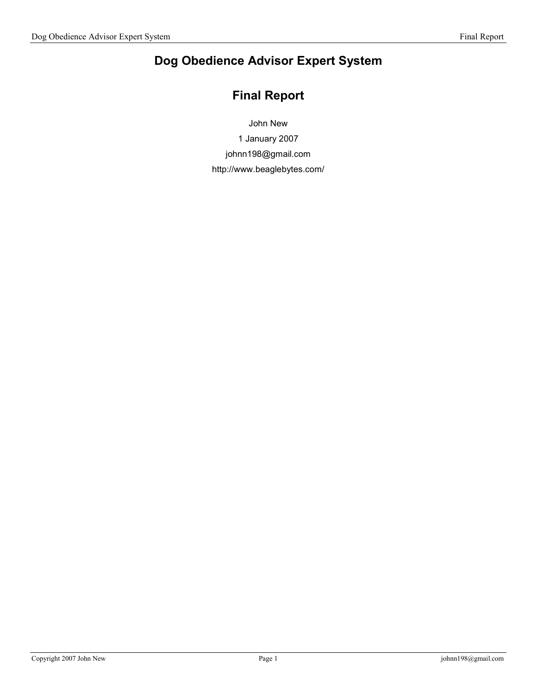# Dog Obedience Advisor Expert System

# Final Report

John New

1 January 2007

johnn198@gmail.com

http://www.beaglebytes.com/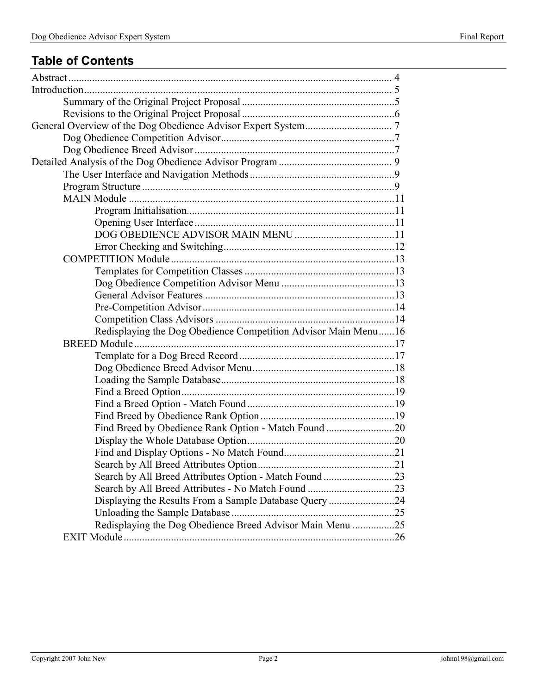# Table of Contents

| Redisplaying the Dog Obedience Competition Advisor Main Menu16 |  |
|----------------------------------------------------------------|--|
|                                                                |  |
|                                                                |  |
|                                                                |  |
|                                                                |  |
|                                                                |  |
|                                                                |  |
|                                                                |  |
| Find Breed by Obedience Rank Option - Match Found 20           |  |
|                                                                |  |
|                                                                |  |
|                                                                |  |
|                                                                |  |
|                                                                |  |
| Displaying the Results From a Sample Database Query 24         |  |
|                                                                |  |
| Redisplaying the Dog Obedience Breed Advisor Main Menu 25      |  |
|                                                                |  |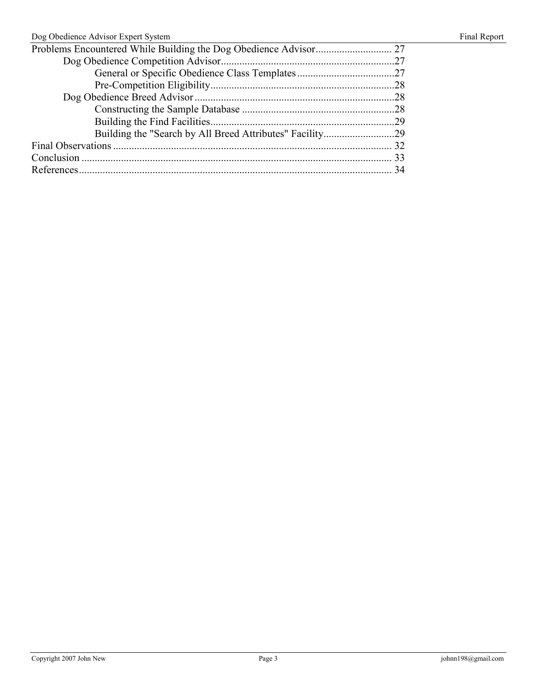| Dog Obedience Advisor Expert System |  |  |  |
|-------------------------------------|--|--|--|
|                                     |  |  |  |
|                                     |  |  |  |
|                                     |  |  |  |
|                                     |  |  |  |
|                                     |  |  |  |
|                                     |  |  |  |
|                                     |  |  |  |
|                                     |  |  |  |
|                                     |  |  |  |
|                                     |  |  |  |
|                                     |  |  |  |
|                                     |  |  |  |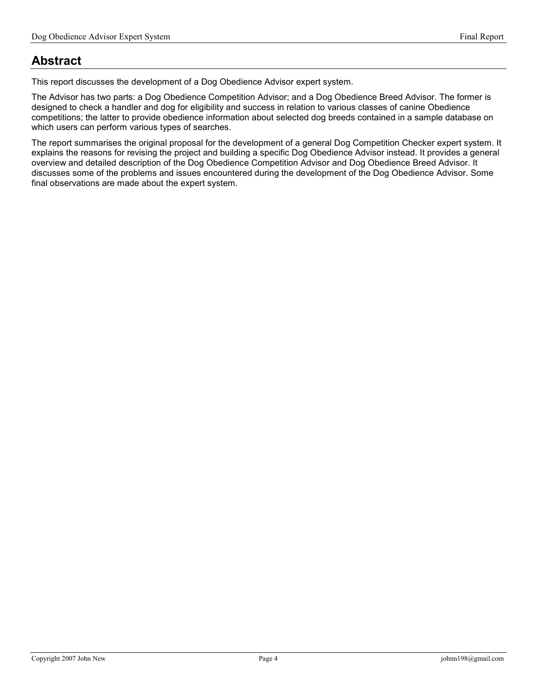# Abstract

This report discusses the development of a Dog Obedience Advisor expert system.

The Advisor has two parts: a Dog Obedience Competition Advisor; and a Dog Obedience Breed Advisor. The former is designed to check a handler and dog for eligibility and success in relation to various classes of canine Obedience competitions; the latter to provide obedience information about selected dog breeds contained in a sample database on which users can perform various types of searches.

The report summarises the original proposal for the development of a general Dog Competition Checker expert system. It explains the reasons for revising the project and building a specific Dog Obedience Advisor instead. It provides a general overview and detailed description of the Dog Obedience Competition Advisor and Dog Obedience Breed Advisor. It discusses some of the problems and issues encountered during the development of the Dog Obedience Advisor. Some final observations are made about the expert system.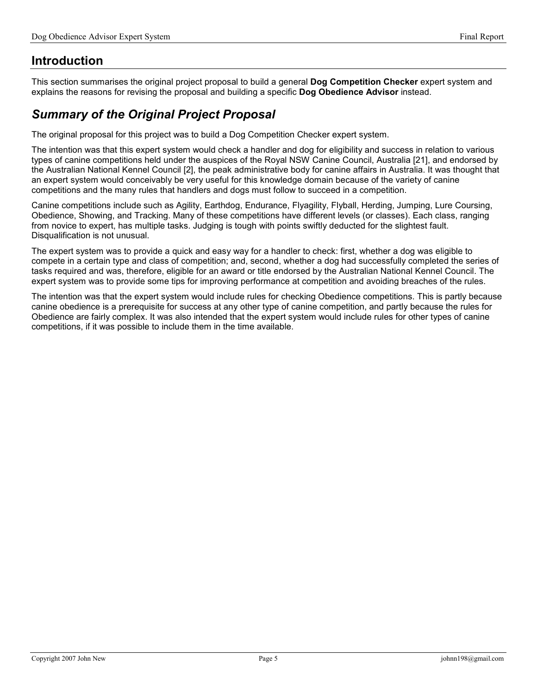# Introduction

This section summarises the original project proposal to build a general Dog Competition Checker expert system and explains the reasons for revising the proposal and building a specific Dog Obedience Advisor instead.

# Summary of the Original Project Proposal

The original proposal for this project was to build a Dog Competition Checker expert system.

The intention was that this expert system would check a handler and dog for eligibility and success in relation to various types of canine competitions held under the auspices of the Royal NSW Canine Council, Australia [21], and endorsed by the Australian National Kennel Council [2], the peak administrative body for canine affairs in Australia. It was thought that an expert system would conceivably be very useful for this knowledge domain because of the variety of canine competitions and the many rules that handlers and dogs must follow to succeed in a competition.

Canine competitions include such as Agility, Earthdog, Endurance, Flyagility, Flyball, Herding, Jumping, Lure Coursing, Obedience, Showing, and Tracking. Many of these competitions have different levels (or classes). Each class, ranging from novice to expert, has multiple tasks. Judging is tough with points swiftly deducted for the slightest fault. Disqualification is not unusual.

The expert system was to provide a quick and easy way for a handler to check: first, whether a dog was eligible to compete in a certain type and class of competition; and, second, whether a dog had successfully completed the series of tasks required and was, therefore, eligible for an award or title endorsed by the Australian National Kennel Council. The expert system was to provide some tips for improving performance at competition and avoiding breaches of the rules.

The intention was that the expert system would include rules for checking Obedience competitions. This is partly because canine obedience is a prerequisite for success at any other type of canine competition, and partly because the rules for Obedience are fairly complex. It was also intended that the expert system would include rules for other types of canine competitions, if it was possible to include them in the time available.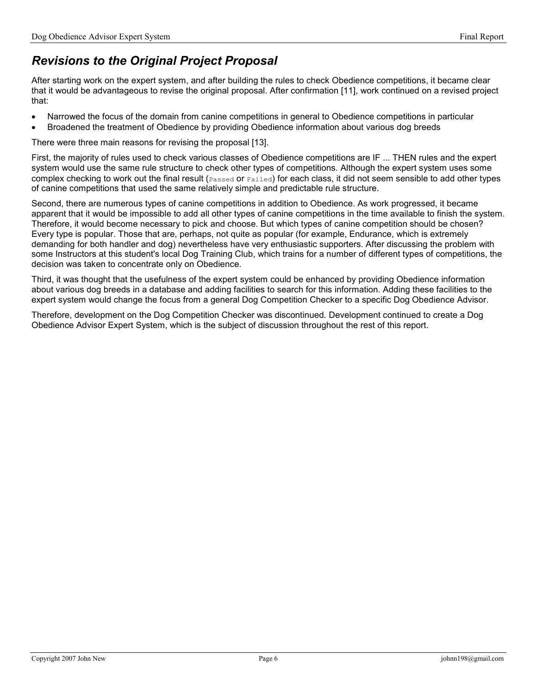# Revisions to the Original Project Proposal

After starting work on the expert system, and after building the rules to check Obedience competitions, it became clear that it would be advantageous to revise the original proposal. After confirmation [11], work continued on a revised project that:

- Narrowed the focus of the domain from canine competitions in general to Obedience competitions in particular
- Broadened the treatment of Obedience by providing Obedience information about various dog breeds

There were three main reasons for revising the proposal [13].

First, the majority of rules used to check various classes of Obedience competitions are IF ... THEN rules and the expert system would use the same rule structure to check other types of competitions. Although the expert system uses some complex checking to work out the final result (Passed or Failed) for each class, it did not seem sensible to add other types of canine competitions that used the same relatively simple and predictable rule structure.

Second, there are numerous types of canine competitions in addition to Obedience. As work progressed, it became apparent that it would be impossible to add all other types of canine competitions in the time available to finish the system. Therefore, it would become necessary to pick and choose. But which types of canine competition should be chosen? Every type is popular. Those that are, perhaps, not quite as popular (for example, Endurance, which is extremely demanding for both handler and dog) nevertheless have very enthusiastic supporters. After discussing the problem with some Instructors at this student's local Dog Training Club, which trains for a number of different types of competitions, the decision was taken to concentrate only on Obedience.

Third, it was thought that the usefulness of the expert system could be enhanced by providing Obedience information about various dog breeds in a database and adding facilities to search for this information. Adding these facilities to the expert system would change the focus from a general Dog Competition Checker to a specific Dog Obedience Advisor.

Therefore, development on the Dog Competition Checker was discontinued. Development continued to create a Dog Obedience Advisor Expert System, which is the subject of discussion throughout the rest of this report.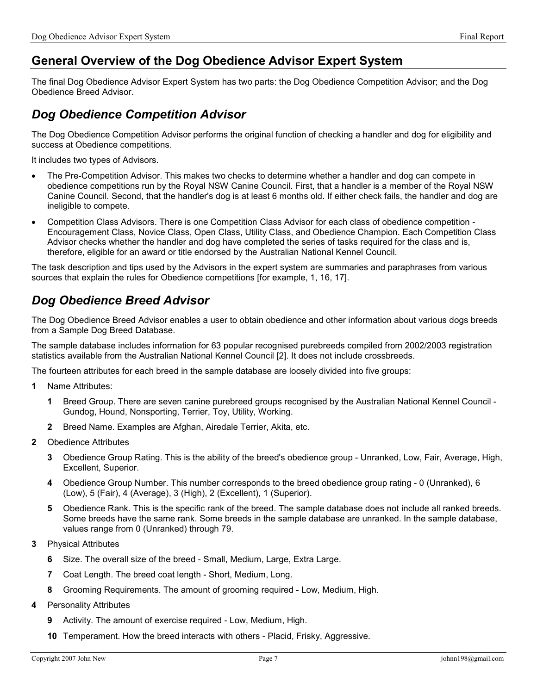# General Overview of the Dog Obedience Advisor Expert System

The final Dog Obedience Advisor Expert System has two parts: the Dog Obedience Competition Advisor; and the Dog Obedience Breed Advisor.

# Dog Obedience Competition Advisor

The Dog Obedience Competition Advisor performs the original function of checking a handler and dog for eligibility and success at Obedience competitions.

It includes two types of Advisors.

- The Pre-Competition Advisor. This makes two checks to determine whether a handler and dog can compete in obedience competitions run by the Royal NSW Canine Council. First, that a handler is a member of the Royal NSW Canine Council. Second, that the handler's dog is at least 6 months old. If either check fails, the handler and dog are ineligible to compete.
- Competition Class Advisors. There is one Competition Class Advisor for each class of obedience competition Encouragement Class, Novice Class, Open Class, Utility Class, and Obedience Champion. Each Competition Class Advisor checks whether the handler and dog have completed the series of tasks required for the class and is, therefore, eligible for an award or title endorsed by the Australian National Kennel Council.

The task description and tips used by the Advisors in the expert system are summaries and paraphrases from various sources that explain the rules for Obedience competitions [for example, 1, 16, 17].

# Dog Obedience Breed Advisor

The Dog Obedience Breed Advisor enables a user to obtain obedience and other information about various dogs breeds from a Sample Dog Breed Database.

The sample database includes information for 63 popular recognised purebreeds compiled from 2002/2003 registration statistics available from the Australian National Kennel Council [2]. It does not include crossbreeds.

The fourteen attributes for each breed in the sample database are loosely divided into five groups:

- 1 Name Attributes:
	- 1 Breed Group. There are seven canine purebreed groups recognised by the Australian National Kennel Council Gundog, Hound, Nonsporting, Terrier, Toy, Utility, Working.
	- 2 Breed Name. Examples are Afghan, Airedale Terrier, Akita, etc.
- 2 Obedience Attributes
	- 3 Obedience Group Rating. This is the ability of the breed's obedience group Unranked, Low, Fair, Average, High, Excellent, Superior.
	- 4 Obedience Group Number. This number corresponds to the breed obedience group rating 0 (Unranked), 6 (Low), 5 (Fair), 4 (Average), 3 (High), 2 (Excellent), 1 (Superior).
	- 5 Obedience Rank. This is the specific rank of the breed. The sample database does not include all ranked breeds. Some breeds have the same rank. Some breeds in the sample database are unranked. In the sample database, values range from 0 (Unranked) through 79.
- 3 Physical Attributes
	- 6 Size. The overall size of the breed Small, Medium, Large, Extra Large.
	- 7 Coat Length. The breed coat length Short, Medium, Long.
	- 8 Grooming Requirements. The amount of grooming required Low, Medium, High.
- 4 Personality Attributes
	- 9 Activity. The amount of exercise required Low, Medium, High.
	- 10 Temperament. How the breed interacts with others Placid, Frisky, Aggressive.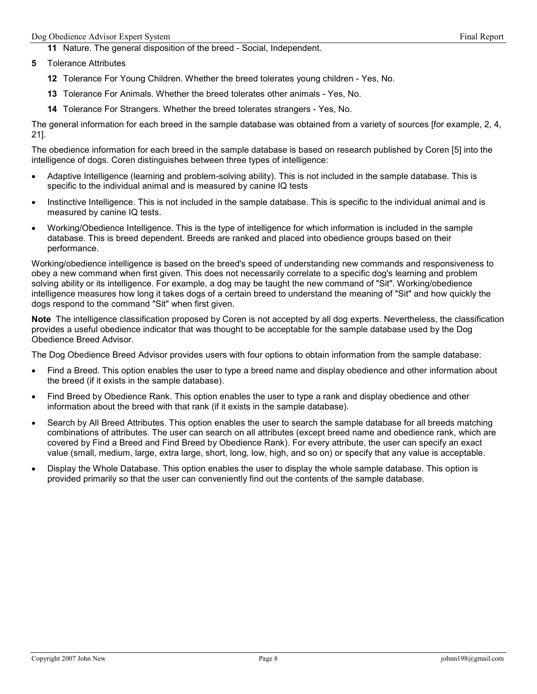11 Nature. The general disposition of the breed - Social, Independent.

- 5 Tolerance Attributes
	- 12 Tolerance For Young Children. Whether the breed tolerates young children Yes, No.
	- 13 Tolerance For Animals. Whether the breed tolerates other animals Yes, No.
	- 14 Tolerance For Strangers. Whether the breed tolerates strangers Yes, No.

The general information for each breed in the sample database was obtained from a variety of sources [for example, 2, 4, 21].

The obedience information for each breed in the sample database is based on research published by Coren [5] into the intelligence of dogs. Coren distinguishes between three types of intelligence:

- Adaptive Intelligence (learning and problem-solving ability). This is not included in the sample database. This is specific to the individual animal and is measured by canine IQ tests
- Instinctive Intelligence. This is not included in the sample database. This is specific to the individual animal and is measured by canine IQ tests.
- Working/Obedience Intelligence. This is the type of intelligence for which information is included in the sample database. This is breed dependent. Breeds are ranked and placed into obedience groups based on their performance.

Working/obedience intelligence is based on the breed's speed of understanding new commands and responsiveness to obey a new command when first given. This does not necessarily correlate to a specific dog's learning and problem solving ability or its intelligence. For example, a dog may be taught the new command of "Sit". Working/obedience intelligence measures how long it takes dogs of a certain breed to understand the meaning of "Sit" and how quickly the dogs respond to the command "Sit" when first given.

Note The intelligence classification proposed by Coren is not accepted by all dog experts. Nevertheless, the classification provides a useful obedience indicator that was thought to be acceptable for the sample database used by the Dog Obedience Breed Advisor.

The Dog Obedience Breed Advisor provides users with four options to obtain information from the sample database:

- Find a Breed. This option enables the user to type a breed name and display obedience and other information about the breed (if it exists in the sample database).
- Find Breed by Obedience Rank. This option enables the user to type a rank and display obedience and other information about the breed with that rank (if it exists in the sample database).
- Search by All Breed Attributes. This option enables the user to search the sample database for all breeds matching combinations of attributes. The user can search on all attributes (except breed name and obedience rank, which are covered by Find a Breed and Find Breed by Obedience Rank). For every attribute, the user can specify an exact value (small, medium, large, extra large, short, long, low, high, and so on) or specify that any value is acceptable.
- Display the Whole Database. This option enables the user to display the whole sample database. This option is provided primarily so that the user can conveniently find out the contents of the sample database.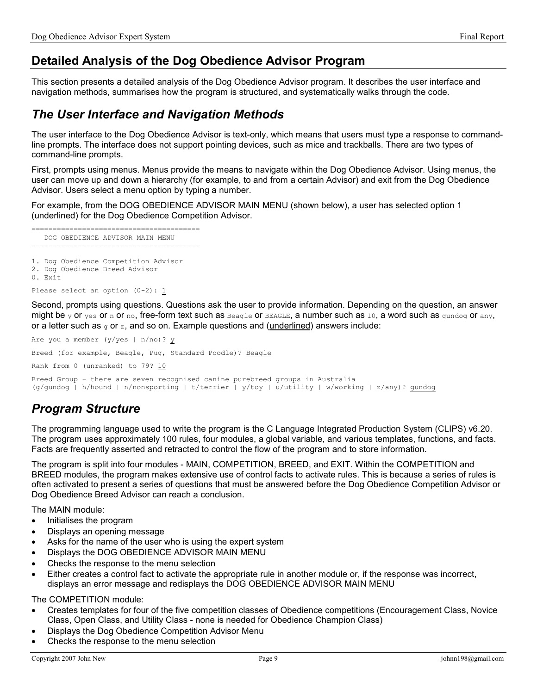# Detailed Analysis of the Dog Obedience Advisor Program

This section presents a detailed analysis of the Dog Obedience Advisor program. It describes the user interface and navigation methods, summarises how the program is structured, and systematically walks through the code.

# The User Interface and Navigation Methods

The user interface to the Dog Obedience Advisor is text-only, which means that users must type a response to commandline prompts. The interface does not support pointing devices, such as mice and trackballs. There are two types of command-line prompts.

First, prompts using menus. Menus provide the means to navigate within the Dog Obedience Advisor. Using menus, the user can move up and down a hierarchy (for example, to and from a certain Advisor) and exit from the Dog Obedience Advisor. Users select a menu option by typing a number.

For example, from the DOG OBEDIENCE ADVISOR MAIN MENU (shown below), a user has selected option 1 (underlined) for the Dog Obedience Competition Advisor.

======================================== DOG OBEDIENCE ADVISOR MAIN MENU ========================================

1. Dog Obedience Competition Advisor

- 2. Dog Obedience Breed Advisor
- 0. Exit

Please select an option (0-2): 1

Second, prompts using questions. Questions ask the user to provide information. Depending on the question, an answer might be y or yes or n or no, free-form text such as  $Bear$ e or  $Bear$ g a number such as 10, a word such as gundog or any, or a letter such as  $q$  or z, and so on. Example questions and (underlined) answers include:

Breed (for example, Beagle, Pug, Standard Poodle)? Beagle

Rank from 0 (unranked) to 79? 10

Are you a member (y/yes | n/no)? y

Breed Group - there are seven recognised canine purebreed groups in Australia (g/gundog | h/hound | n/nonsporting | t/terrier | y/toy | u/utility | w/working | z/any)? gundog

# Program Structure

The programming language used to write the program is the C Language Integrated Production System (CLIPS) v6.20. The program uses approximately 100 rules, four modules, a global variable, and various templates, functions, and facts. Facts are frequently asserted and retracted to control the flow of the program and to store information.

The program is split into four modules - MAIN, COMPETITION, BREED, and EXIT. Within the COMPETITION and BREED modules, the program makes extensive use of control facts to activate rules. This is because a series of rules is often activated to present a series of questions that must be answered before the Dog Obedience Competition Advisor or Dog Obedience Breed Advisor can reach a conclusion.

The MAIN module:

- Initialises the program
- Displays an opening message
- Asks for the name of the user who is using the expert system
- Displays the DOG OBEDIENCE ADVISOR MAIN MENU
- Checks the response to the menu selection
- Either creates a control fact to activate the appropriate rule in another module or, if the response was incorrect, displays an error message and redisplays the DOG OBEDIENCE ADVISOR MAIN MENU

The COMPETITION module:

- Creates templates for four of the five competition classes of Obedience competitions (Encouragement Class, Novice Class, Open Class, and Utility Class - none is needed for Obedience Champion Class)
- Displays the Dog Obedience Competition Advisor Menu
- Checks the response to the menu selection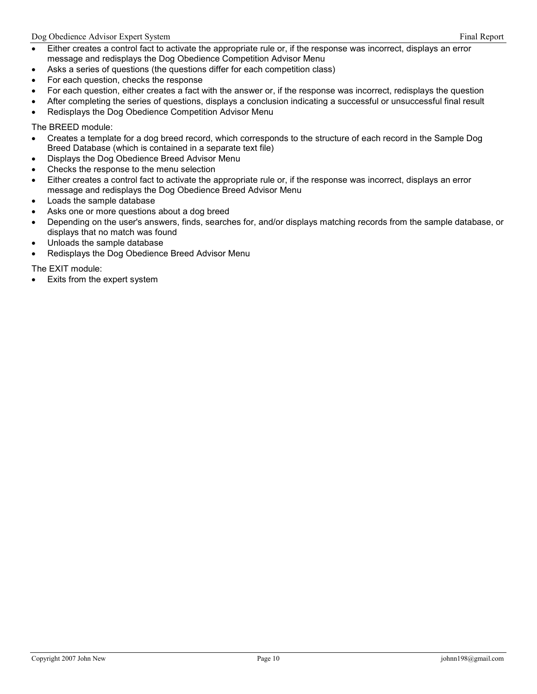- Either creates a control fact to activate the appropriate rule or, if the response was incorrect, displays an error message and redisplays the Dog Obedience Competition Advisor Menu
- Asks a series of questions (the questions differ for each competition class)
- For each question, checks the response
- For each question, either creates a fact with the answer or, if the response was incorrect, redisplays the question
- After completing the series of questions, displays a conclusion indicating a successful or unsuccessful final result
- Redisplays the Dog Obedience Competition Advisor Menu

The BREED module:

- Creates a template for a dog breed record, which corresponds to the structure of each record in the Sample Dog Breed Database (which is contained in a separate text file)
- Displays the Dog Obedience Breed Advisor Menu
- Checks the response to the menu selection
- Either creates a control fact to activate the appropriate rule or, if the response was incorrect, displays an error message and redisplays the Dog Obedience Breed Advisor Menu
- Loads the sample database
- Asks one or more questions about a dog breed
- Depending on the user's answers, finds, searches for, and/or displays matching records from the sample database, or displays that no match was found
- Unloads the sample database
- Redisplays the Dog Obedience Breed Advisor Menu

The EXIT module:

Exits from the expert system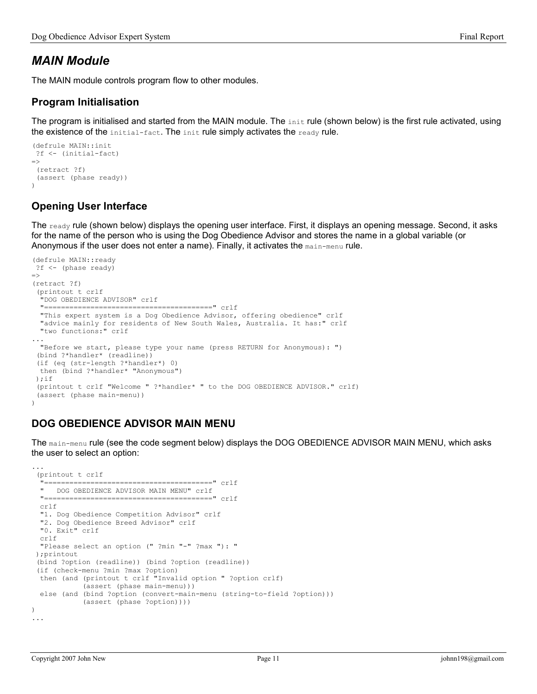# MAIN Module

The MAIN module controls program flow to other modules.

## Program Initialisation

The program is initialised and started from the MAIN module. The  $\sin t$  rule (shown below) is the first rule activated, using the existence of the initial-fact. The init rule simply activates the ready rule.

```
(defrule MAIN::init 
  ?f <- (initial-fact) 
\Rightarrow (retract ?f) 
  (assert (phase ready)) 
\lambda
```
# Opening User Interface

The  $_{\text{ready}}$  rule (shown below) displays the opening user interface. First, it displays an opening message. Second, it asks for the name of the person who is using the Dog Obedience Advisor and stores the name in a global variable (or Anonymous if the user does not enter a name). Finally, it activates the main-menu rule.

```
(defrule MAIN::ready 
  ?f <- (phase ready) 
\Rightarrow(retract ?f) 
  (printout t crlf 
   "DOG OBEDIENCE ADVISOR" crlf 
   "========================================" crlf 
   "This expert system is a Dog Obedience Advisor, offering obedience" crlf 
   "advice mainly for residents of New South Wales, Australia. It has:" crlf 
   "two functions:" crlf 
... 
   "Before we start, please type your name (press RETURN for Anonymous): ") 
  (bind ?*handler* (readline)) 
  (if (eq (str-length ?*handler*) 0) 
  then (bind ?*handler* "Anonymous") 
  );if 
  (printout t crlf "Welcome " ?*handler* " to the DOG OBEDIENCE ADVISOR." crlf) 
  (assert (phase main-menu)) 
)
```
# DOG OBEDIENCE ADVISOR MAIN MENU

The main-menu rule (see the code segment below) displays the DOG OBEDIENCE ADVISOR MAIN MENU, which asks the user to select an option:

```
... 
  (printout t crlf 
   "========================================" crlf 
    DOG OBEDIENCE ADVISOR MAIN MENU" crlf
   "========================================" crlf 
   crlf 
   "1. Dog Obedience Competition Advisor" crlf 
   "2. Dog Obedience Breed Advisor" crlf 
   "0. Exit" crlf 
   crlf 
   "Please select an option (" ?min "-" ?max "): " 
  );printout 
  (bind ?option (readline)) (bind ?option (readline)) 
  (if (check-menu ?min ?max ?option) 
   then (and (printout t crlf "Invalid option " ?option crlf) 
              (assert (phase main-menu))) 
   else (and (bind ?option (convert-main-menu (string-to-field ?option))) 
             (assert (phase ?option)))) 
) 
...
```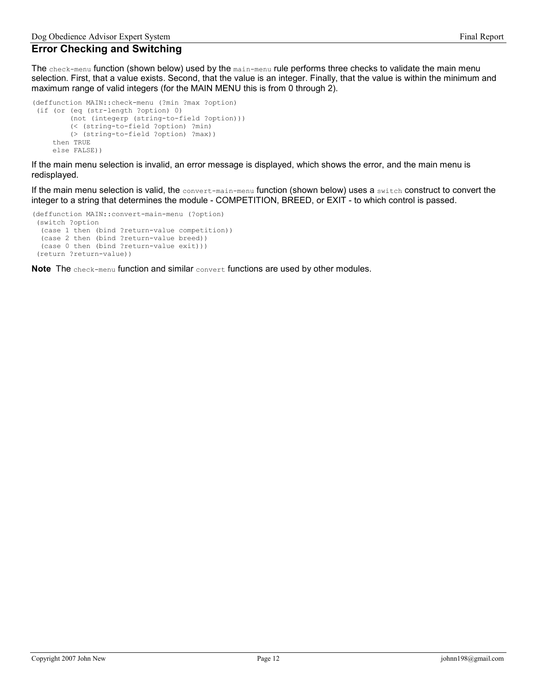## Error Checking and Switching

The check-menu function (shown below) used by the main-menu rule performs three checks to validate the main menu selection. First, that a value exists. Second, that the value is an integer. Finally, that the value is within the minimum and maximum range of valid integers (for the MAIN MENU this is from 0 through 2).

```
(deffunction MAIN::check-menu (?min ?max ?option) 
 (if (or (eq (str-length ?option) 0) 
          (not (integerp (string-to-field ?option)))
          (< (string-to-field ?option) ?min) 
          (> (string-to-field ?option) ?max)) 
      then TRUE 
      else FALSE))
```
If the main menu selection is invalid, an error message is displayed, which shows the error, and the main menu is redisplayed.

If the main menu selection is valid, the convert-main-menu function (shown below) uses a switch construct to convert the integer to a string that determines the module - COMPETITION, BREED, or EXIT - to which control is passed.

```
(deffunction MAIN::convert-main-menu (?option) 
  (switch ?option 
   (case 1 then (bind ?return-value competition)) 
   (case 2 then (bind ?return-value breed)) 
   (case 0 then (bind ?return-value exit))) 
  (return ?return-value))
```
Note The check-menu function and similar convert functions are used by other modules.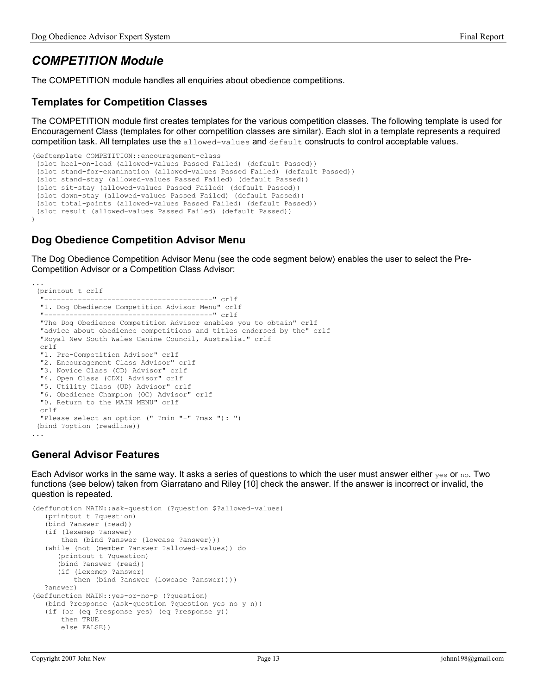# COMPETITION Module

The COMPETITION module handles all enquiries about obedience competitions.

## Templates for Competition Classes

The COMPETITION module first creates templates for the various competition classes. The following template is used for Encouragement Class (templates for other competition classes are similar). Each slot in a template represents a required competition task. All templates use the allowed-values and default constructs to control acceptable values.

```
(deftemplate COMPETITION::encouragement-class 
 (slot heel-on-lead (allowed-values Passed Failed) (default Passed)) 
 (slot stand-for-examination (allowed-values Passed Failed) (default Passed)) 
  (slot stand-stay (allowed-values Passed Failed) (default Passed)) 
 (slot sit-stay (allowed-values Passed Failed) (default Passed)) 
 (slot down-stay (allowed-values Passed Failed) (default Passed)) 
 (slot total-points (allowed-values Passed Failed) (default Passed)) 
 (slot result (allowed-values Passed Failed) (default Passed)) 
)
```
## Dog Obedience Competition Advisor Menu

The Dog Obedience Competition Advisor Menu (see the code segment below) enables the user to select the Pre-Competition Advisor or a Competition Class Advisor:

```
... 
  (printout t crlf 
   "----------------------------------------" crlf 
  "1. Dog Obedience Competition Advisor Menu" crlf 
  "----------------------------------------" crlf 
  "The Dog Obedience Competition Advisor enables you to obtain" crlf 
  "advice about obedience competitions and titles endorsed by the" crlf 
  "Royal New South Wales Canine Council, Australia." crlf 
  crlf 
  "1. Pre-Competition Advisor" crlf 
  "2. Encouragement Class Advisor" crlf 
  "3. Novice Class (CD) Advisor" crlf 
  "4. Open Class (CDX) Advisor" crlf 
  "5. Utility Class (UD) Advisor" crlf 
  "6. Obedience Champion (OC) Advisor" crlf 
  "0. Return to the MAIN MENU" crlf 
  crlf 
  "Please select an option (" ?min "-" ?max "): ") 
  (bind ?option (readline)) 
...
```
## General Advisor Features

Each Advisor works in the same way. It asks a series of questions to which the user must answer either  $y_{es}$  or no. Two functions (see below) taken from Giarratano and Riley [10] check the answer. If the answer is incorrect or invalid, the question is repeated.

```
(deffunction MAIN::ask-question (?question $?allowed-values) 
    (printout t ?question) 
    (bind ?answer (read)) 
    (if (lexemep ?answer) 
        then (bind ?answer (lowcase ?answer))) 
    (while (not (member ?answer ?allowed-values)) do
       (printout t ?question) 
       (bind ?answer (read)) 
       (if (lexemep ?answer) 
           then (bind ?answer (lowcase ?answer)))) 
    ?answer) 
(deffunction MAIN::yes-or-no-p (?question) 
    (bind ?response (ask-question ?question yes no y n)) 
    (if (or (eq ?response yes) (eq ?response y)) 
        then TRUE 
        else FALSE))
```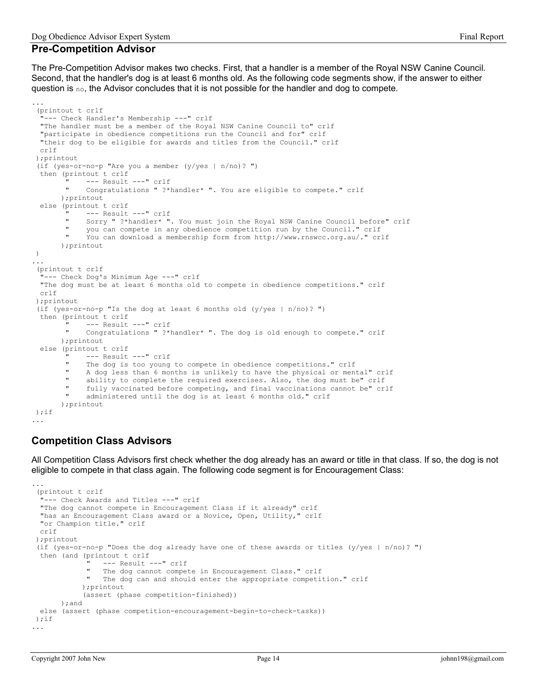### Pre-Competition Advisor

...

The Pre-Competition Advisor makes two checks. First, that a handler is a member of the Royal NSW Canine Council. Second, that the handler's dog is at least 6 months old. As the following code segments show, if the answer to either question is no, the Advisor concludes that it is not possible for the handler and dog to compete.

```
 (printout t crlf 
  "--- Check Handler's Membership ---" crlf 
  "The handler must be a member of the Royal NSW Canine Council to" crlf 
  "participate in obedience competitions run the Council and for" crlf 
  "their dog to be eligible for awards and titles from the Council." crlf 
  crlf 
 );printout 
  (if (yes-or-no-p "Are you a member (y/yes | n/no)? ") 
  then (printout t crlf 
       " --- Result ---" crlf
            Congratulations " ?*handler* ". You are eligible to compete." crlf
       );printout 
  else (printout t crlf 
            --- Result ---" crlf
             Sorry " ?*handler* ". You must join the Royal NSW Canine Council before" crlf
        " you can compete in any obedience competition run by the Council." crlf 
            You can download a membership form from http://www.rnswcc.org.au/." crlf
        );printout 
 ) 
... 
 (printout t crlf 
   "--- Check Dog's Minimum Age ---" crlf 
  "The dog must be at least 6 months old to compete in obedience competitions." crlf 
  crlf 
 );printout 
 (if (yes-or-no-p "Is the dog at least 6 months old (y/yes | n/no)? ") 
  then (printout t crlf 
        " --- Result ---" crlf 
            Congratulations " ?*handler* ". The dog is old enough to compete." crlf
       );printout 
  else (printout t crlf 
             --- Result ---" crlf
            The dog is too young to compete in obedience competitions." crlf
             A dog less than 6 months is unlikely to have the physical or mental" crlf
             ability to complete the required exercises. Also, the dog must be" crlf
             fully vaccinated before competing, and final vaccinations cannot be" crlf
            administered until the dog is at least 6 months old." crlf
        );printout 
 );if 
...
```
## Competition Class Advisors

All Competition Class Advisors first check whether the dog already has an award or title in that class. If so, the dog is not eligible to compete in that class again. The following code segment is for Encouragement Class:

```
 (printout t crlf 
   "--- Check Awards and Titles ---" crlf 
  "The dog cannot compete in Encouragement Class if it already" crlf 
  "has an Encouragement Class award or a Novice, Open, Utility," crlf 
  "or Champion title." crlf 
  crlf 
 );printout 
 (if (yes-or-no-p "Does the dog already have one of these awards or titles (y/yes | n/no)? ") 
  then (and (printout t crlf 
                --- Result ---" crlf
                The dog cannot compete in Encouragement Class." crlf
                The dog can and should enter the appropriate competition." crlf
             );printout 
             (assert (phase competition-finished)) 
       );and 
  else (assert (phase competition-encouragement-begin-to-check-tasks)) 
); if...
```
...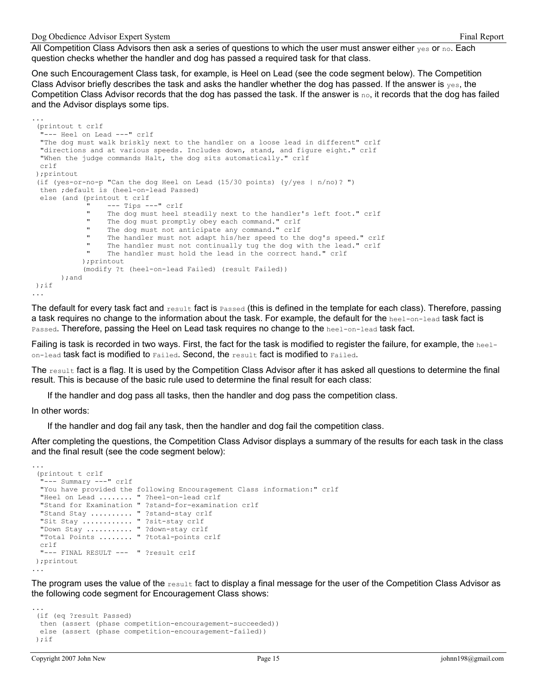...

All Competition Class Advisors then ask a series of questions to which the user must answer either  $y_{es}$  or  $\text{no.}$  Each question checks whether the handler and dog has passed a required task for that class.

One such Encouragement Class task, for example, is Heel on Lead (see the code segment below). The Competition Class Advisor briefly describes the task and asks the handler whether the dog has passed. If the answer is  $y_{es}$ , the Competition Class Advisor records that the dog has passed the task. If the answer is  $\alpha_0$ , it records that the dog has failed and the Advisor displays some tips.

```
 (printout t crlf 
   "--- Heel on Lead ---" crlf 
  "The dog must walk briskly next to the handler on a loose lead in different" crlf 
  "directions and at various speeds. Includes down, stand, and figure eight." crlf 
  "When the judge commands Halt, the dog sits automatically." crlf 
  crlf 
 );printout 
 (if (yes-or-no-p "Can the dog Heel on Lead (15/30 points) (y/yes | n/no \rangle? ")
  then ;default is (heel-on-lead Passed) 
  else (and (printout t crlf 
              " --- Tips ---" crlf 
                  The dog must heel steadily next to the handler's left foot." crlf
              " The dog must promptly obey each command." crlf 
              " The dog must not anticipate any command." crlf 
                  The handler must not adapt his/her speed to the dog's speed." crlf
                  The handler must not continually tug the dog with the lead." crlf
                  The handler must hold the lead in the correct hand." crlf
             );printout 
             (modify ?t (heel-on-lead Failed) (result Failed)) 
        );and 
 );if 
...
```
The default for every task fact and  $_{\text{result}}$  fact is  $_{\text{Passel}}$  (this is defined in the template for each class). Therefore, passing a task requires no change to the information about the task. For example, the default for the heel-on-lead task fact is Passed. Therefore, passing the Heel on Lead task requires no change to the heel-on-lead task fact.

Failing is task is recorded in two ways. First, the fact for the task is modified to register the failure, for example, the heel- $\sigma$ <sub>0n-lead</sub> task fact is modified to  $\sigma$  Failed. Second, the result fact is modified to Failed.

The result fact is a flag. It is used by the Competition Class Advisor after it has asked all questions to determine the final result. This is because of the basic rule used to determine the final result for each class:

If the handler and dog pass all tasks, then the handler and dog pass the competition class.

In other words:

...

If the handler and dog fail any task, then the handler and dog fail the competition class.

After completing the questions, the Competition Class Advisor displays a summary of the results for each task in the class and the final result (see the code segment below):

```
 (printout t crlf 
  -<br>"--- Summary ---" crlf
  "You have provided the following Encouragement Class information:" crlf 
  "Heel on Lead ........ " ?heel-on-lead crlf 
   "Stand for Examination " ?stand-for-examination crlf 
  "Stand Stay .......... " ?stand-stay crlf 
  "Sit Stay ............ " ?sit-stay crlf 
  "Down Stay ........... " ?down-stay crlf 
  "Total Points ........ " ?total-points crlf 
  crlf 
  "--- FINAL RESULT --- " ?result crlf 
 );printout 
...
```
The program uses the value of the  $_{\text{result}}$  fact to display a final message for the user of the Competition Class Advisor as the following code segment for Encouragement Class shows:

```
... 
 (if (eq ?result Passed) 
  then (assert (phase competition-encouragement-succeeded)) 
  else (assert (phase competition-encouragement-failed)) 
); i f
```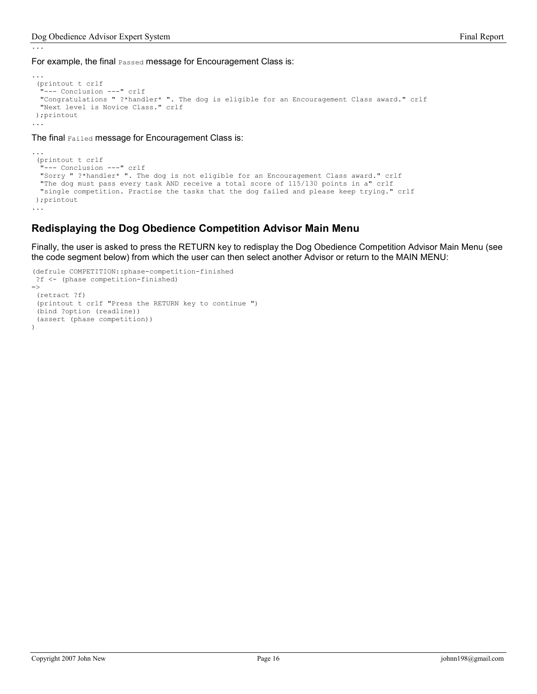...

For example, the final Passed message for Encouragement Class is:

```
... 
 (printout t crlf 
   "--- Conclusion ---" crlf 
  "Congratulations " ?*handler* ". The dog is eligible for an Encouragement Class award." crlf 
  "Next level is Novice Class." crlf 
 );printout 
...
```
The final Failed message for Encouragement Class is:

```
... 
 (printout t crlf 
  "--- Conclusion ---" crlf 
  "Sorry " ?*handler* ". The dog is not eligible for an Encouragement Class award." crlf 
  "The dog must pass every task AND receive a total score of 115/130 points in a" crlf 
  "single competition. Practise the tasks that the dog failed and please keep trying." crlf 
 );printout 
...
```
### Redisplaying the Dog Obedience Competition Advisor Main Menu

Finally, the user is asked to press the RETURN key to redisplay the Dog Obedience Competition Advisor Main Menu (see the code segment below) from which the user can then select another Advisor or return to the MAIN MENU:

```
(defrule COMPETITION::phase-competition-finished 
  ?f <- (phase competition-finished) 
\Rightarrow (retract ?f) 
  (printout t crlf "Press the RETURN key to continue ") 
  (bind ?option (readline)) 
  (assert (phase competition)) 
\lambda
```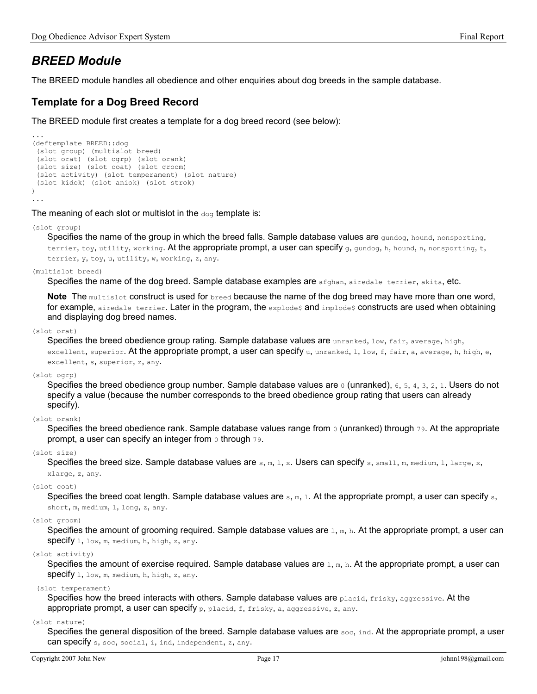# BREED Module

The BREED module handles all obedience and other enquiries about dog breeds in the sample database.

## Template for a Dog Breed Record

The BREED module first creates a template for a dog breed record (see below):

```
... 
(deftemplate BREED::dog 
  (slot group) (multislot breed) 
  (slot orat) (slot ogrp) (slot orank) 
  (slot size) (slot coat) (slot groom) 
  (slot activity) (slot temperament) (slot nature) 
  (slot kidok) (slot aniok) (slot strok) 
) 
...
```
The meaning of each slot or multislot in the  $\text{dog}$  template is:

(slot group)

Specifies the name of the group in which the breed falls. Sample database values are gundog, hound, nonsporting, terrier, toy, utility, working. At the appropriate prompt, a user can specify q, qundoq, h, hound, n, nonsporting, t, terrier, y, toy, u, utility, w, working, z, any.

(multislot breed)

Specifies the name of the dog breed. Sample database examples are **afghan**, airedale terrier, akita, etc.

Note The multislot construct is used for breed because the name of the dog breed may have more than one word, for example, airedale terrier. Later in the program, the explode  $\beta$  and implode  $\beta$  constructs are used when obtaining and displaying dog breed names.

### (slot orat)

Specifies the breed obedience group rating. Sample database values are unranked, low, fair, average, high, excellent, superior. At the appropriate prompt, a user can specify  $u$ , unranked, 1, low, f, fair, a, average, h, high, e, excellent, s, superior, z, any.

### (slot ogrp)

Specifies the breed obedience group number. Sample database values are 0 (unranked), 6, 5, 4, 3, 2, 1. Users do not specify a value (because the number corresponds to the breed obedience group rating that users can already specify).

### (slot orank)

Specifies the breed obedience rank. Sample database values range from  $\circ$  (unranked) through  $\tau$ 9. At the appropriate prompt, a user can specify an integer from 0 through 79.

### (slot size)

Specifies the breed size. Sample database values are  $s, m, 1, x$ . Users can specify  $s$ , small, m, medium, 1, large, x,

### xlarge, z, any.

(slot coat)

Specifies the breed coat length. Sample database values are  $s, m, 1$ . At the appropriate prompt, a user can specify  $s$ , short, m, medium, l, long, z, any.

### (slot groom)

Specifies the amount of grooming required. Sample database values are  $1, m, h$ . At the appropriate prompt, a user can **specify** 1, low, m, medium, h, high, z, any.

### (slot activity)

Specifies the amount of exercise required. Sample database values are  $1, m, h$ . At the appropriate prompt, a user can specify l, low, m, medium, h, high, z, any.

#### (slot temperament)

Specifies how the breed interacts with others. Sample database values are placid, frisky, aggressive. At the appropriate prompt, a user can specify p, placid, f, frisky, a, aggressive, z, any.

### (slot nature)

Specifies the general disposition of the breed. Sample database values are soc, ind. At the appropriate prompt, a user can specify s, soc, social, i, ind, independent, z, any.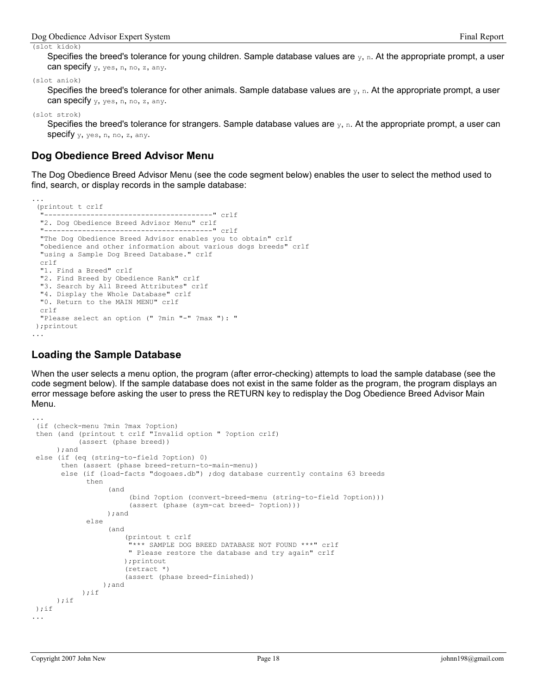(slot kidok)

Specifies the breed's tolerance for young children. Sample database values are  $y$ , n. At the appropriate prompt, a user can specify  $y$ ,  $y$ es, n, no, z, any.

(slot aniok)

Specifies the breed's tolerance for other animals. Sample database values are  $y$ , n. At the appropriate prompt, a user can specify  $y$ ,  $y$ es, n, no, z, any.

(slot strok)

...

Specifies the breed's tolerance for strangers. Sample database values are  $y$ , n. At the appropriate prompt, a user can **specify**  $y$ ,  $y$ es, n, no, z, any.

### Dog Obedience Breed Advisor Menu

The Dog Obedience Breed Advisor Menu (see the code segment below) enables the user to select the method used to find, search, or display records in the sample database:

```
 (printout t crlf 
   "----------------------------------------" crlf 
  "2. Dog Obedience Breed Advisor Menu" crlf 
  "----------------------------------------" crlf 
  "The Dog Obedience Breed Advisor enables you to obtain" crlf 
  "obedience and other information about various dogs breeds" crlf 
  "using a Sample Dog Breed Database." crlf 
  crlf 
  "1. Find a Breed" crlf 
  "2. Find Breed by Obedience Rank" crlf 
  "3. Search by All Breed Attributes" crlf 
  "4. Display the Whole Database" crlf 
  "0. Return to the MAIN MENU" crlf 
  crlf 
  "Please select an option (" ?min "-" ?max "): " 
 );printout 
...
```
### Loading the Sample Database

When the user selects a menu option, the program (after error-checking) attempts to load the sample database (see the code segment below). If the sample database does not exist in the same folder as the program, the program displays an error message before asking the user to press the RETURN key to redisplay the Dog Obedience Breed Advisor Main Menu.

```
... 
 (if (check-menu ?min ?max ?option) 
 then (and (printout t crlf "Invalid option " ?option crlf) 
            (assert (phase breed)) 
       );and 
 else (if (eq (string-to-field ?option) 0) 
        then (assert (phase breed-return-to-main-menu)) 
        else (if (load-facts "dogoaes.db") ;dog database currently contains 63 breeds 
              then 
                    (and 
                         (bind ?option (convert-breed-menu (string-to-field ?option))) 
                         (assert (phase (sym-cat breed- ?option))) 
                   );and 
              else 
                    (and 
                       (printout t crlf 
                        "*** SAMPLE DOG BREED DATABASE NOT FOUND ***" crlf 
                        " Please restore the database and try again" crlf 
                       );printout 
                        (retract *) 
                        (assert (phase breed-finished)) 
 );and 
 );if 
 );if 
 );if 
...
```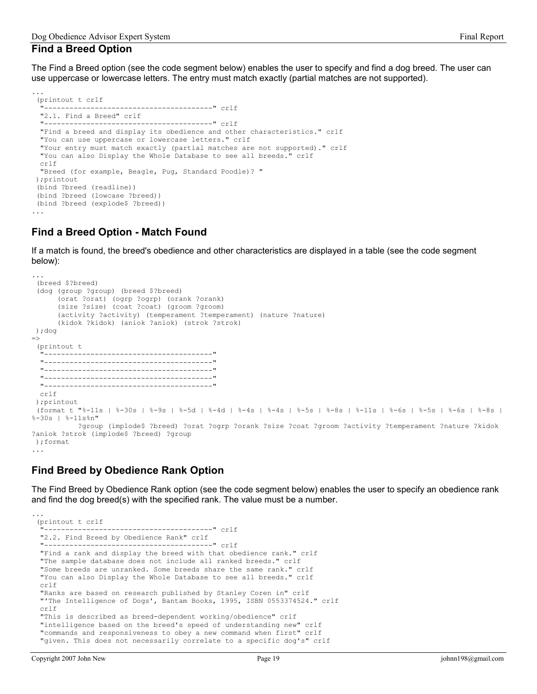### Find a Breed Option

...

The Find a Breed option (see the code segment below) enables the user to specify and find a dog breed. The user can use uppercase or lowercase letters. The entry must match exactly (partial matches are not supported).

```
 (printout t crlf 
   "----------------------------------------" crlf 
  "2.1. Find a Breed" crlf 
  "----------------------------------------" crlf 
  "Find a breed and display its obedience and other characteristics." crlf 
  "You can use uppercase or lowercase letters." crlf 
  "Your entry must match exactly (partial matches are not supported)." crlf 
  "You can also Display the Whole Database to see all breeds." crlf 
  crlf 
  "Breed (for example, Beagle, Pug, Standard Poodle)? " 
 );printout 
  (bind ?breed (readline)) 
  (bind ?breed (lowcase ?breed)) 
 (bind ?breed (explode$ ?breed)) 
...
```
## Find a Breed Option - Match Found

If a match is found, the breed's obedience and other characteristics are displayed in a table (see the code segment below):

```
... 
  (breed $?breed) 
  (dog (group ?group) (breed $?breed) 
       (orat ?orat) (ogrp ?ogrp) (orank ?orank) 
       (size ?size) (coat ?coat) (groom ?groom) 
       (activity ?activity) (temperament ?temperament) (nature ?nature) 
       (kidok ?kidok) (aniok ?aniok) (strok ?strok) 
 );dog 
\Rightarrow (printout t 
    "----------------------------------------" 
   "----------------------------------------" 
   "----------------------------------------" 
   "----------------------------------------" 
   "----------------------------------------" 
  crlf 
  );printout 
  (format t "%-11s | %-30s | %-9s | %-5d | %-4d | %-4s | %-4s | %-5s | %-8s | %-11s | %-6s | %-5s | %-6s | %-8s | 
%-30s | %-11s%n" 
            ?group (implode$ ?breed) ?orat ?ogrp ?orank ?size ?coat ?groom ?activity ?temperament ?nature ?kidok 
?aniok ?strok (implode$ ?breed) ?group 
 );format 
...
```
## Find Breed by Obedience Rank Option

The Find Breed by Obedience Rank option (see the code segment below) enables the user to specify an obedience rank and find the dog breed(s) with the specified rank. The value must be a number.

```
 (printout t crlf 
 "----------------------------------------" crlf 
 "2.2. Find Breed by Obedience Rank" crlf 
 "----------------------------------------" crlf 
 "Find a rank and display the breed with that obedience rank." crlf 
 "The sample database does not include all ranked breeds." crlf 
 "Some breeds are unranked. Some breeds share the same rank." crlf 
 "You can also Display the Whole Database to see all breeds." crlf 
 crlf 
 "Ranks are based on research published by Stanley Coren in" crlf 
 "'The Intelligence of Dogs', Bantam Books, 1995, ISBN 0553374524." crlf 
 crlf 
 "This is described as breed-dependent working/obedience" crlf 
 "intelligence based on the breed's speed of understanding new" crlf 
 "commands and responsiveness to obey a new command when first" crlf 
 "given. This does not necessarily correlate to a specific dog's" crlf
```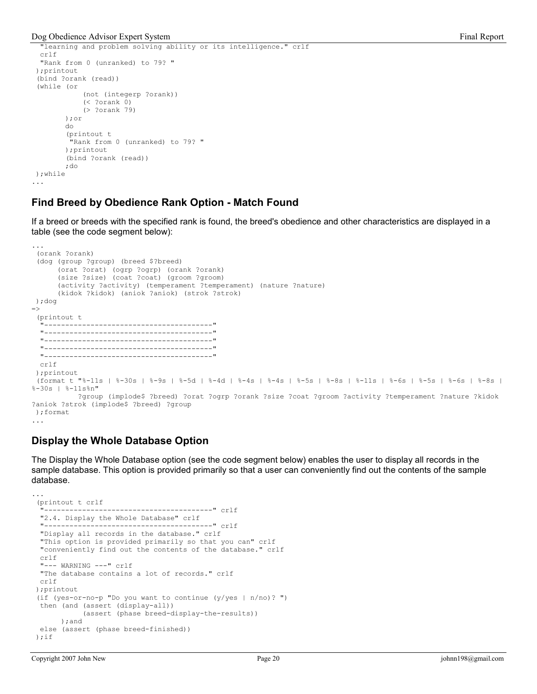```
 "learning and problem solving ability or its intelligence." crlf 
   crlf 
   "Rank from 0 (unranked) to 79? " 
 );printout 
  (bind ?orank (read)) 
  (while (or 
              (not (integerp ?orank)) 
              (< ?orank 0) 
              (> ?orank 79) 
         );or 
         do 
          (printout t 
           "Rank from 0 (unranked) to 79? " 
         );printout 
          (bind ?orank (read)) 
         ;do 
 );while 
...
```
### Find Breed by Obedience Rank Option - Match Found

If a breed or breeds with the specified rank is found, the breed's obedience and other characteristics are displayed in a table (see the code segment below):

```
... 
  (orank ?orank) 
  (dog (group ?group) (breed $?breed) 
       (orat ?orat) (ogrp ?ogrp) (orank ?orank) 
       (size ?size) (coat ?coat) (groom ?groom) 
       (activity ?activity) (temperament ?temperament) (nature ?nature) 
       (kidok ?kidok) (aniok ?aniok) (strok ?strok) 
  );dog 
\Rightarrow (printout t 
   "----------------------------------------" 
   "----------------------------------------" 
   "----------------------------------------" 
   "----------------------------------------" 
  "-------------------------------------
   crlf 
  );printout 
  (format t "%-11s | %-30s | %-9s | %-5d | %-4d | %-4s | %-4s | %-5s | %-8s | %-11s | %-6s | %-5s | %-6s | %-8s | 
%-30s | %-11s%n" 
            ?group (implode$ ?breed) ?orat ?ogrp ?orank ?size ?coat ?groom ?activity ?temperament ?nature ?kidok 
?aniok ?strok (implode$ ?breed) ?group 
 );format 
...
```
## Display the Whole Database Option

The Display the Whole Database option (see the code segment below) enables the user to display all records in the sample database. This option is provided primarily so that a user can conveniently find out the contents of the sample database.

```
... 
  (printout t crlf 
  "----------------------------------------" crlf 
  "2.4. Display the Whole Database" crlf 
  "----------------------------------------" crlf 
  "Display all records in the database." crlf 
  "This option is provided primarily so that you can" crlf 
  "conveniently find out the contents of the database." crlf 
  crlf 
  "--- WARNING ---" crlf 
  "The database contains a lot of records." crlf 
  crlf 
 );printout 
 (if (yes-or-no-p "Do you want to continue (y/yes |n/n0\rangle ")
  then (and (assert (display-all)) 
             (assert (phase breed-display-the-results)) 
        );and 
  else (assert (phase breed-finished)) 
); if
```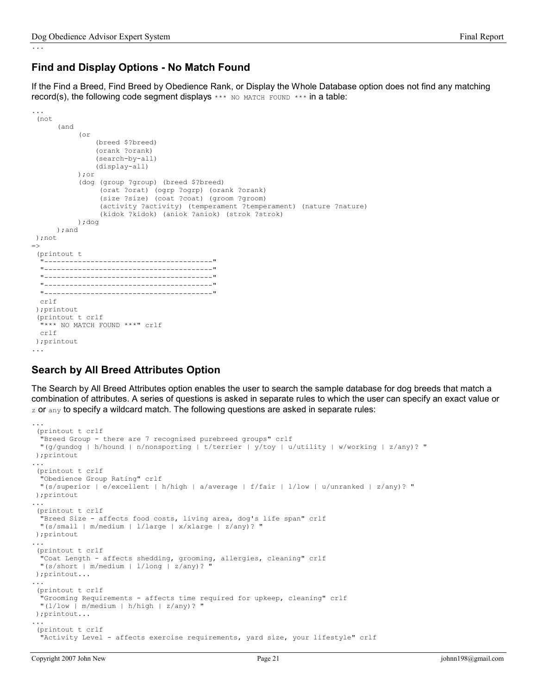## Find and Display Options - No Match Found

If the Find a Breed, Find Breed by Obedience Rank, or Display the Whole Database option does not find any matching record(s), the following code segment displays  $***$  NO MATCH FOUND  $***$  in a table:

```
... 
  (not 
        (and 
             (or 
                  (breed $?breed) 
                  (orank ?orank) 
                  (search-by-all) 
                  (display-all) 
             );or 
              (dog (group ?group) (breed $?breed) 
                   (orat ?orat) (ogrp ?ogrp) (orank ?orank) 
                   (size ?size) (coat ?coat) (groom ?groom) 
                   (activity ?activity) (temperament ?temperament) (nature ?nature) 
                   (kidok ?kidok) (aniok ?aniok) (strok ?strok) 
             );dog 
       );and 
  );not 
\Rightarrow (printout t 
   "----------------------------------------" 
   "----------------------------------------" 
   "----------------------------------------" 
   "----------------------------------------" 
   "----------------------------------------" 
  crlf 
  );printout 
  (printout t crlf 
   "*** NO MATCH FOUND ***" crlf 
  crlf 
 );printout 
...
```
## Search by All Breed Attributes Option

The Search by All Breed Attributes option enables the user to search the sample database for dog breeds that match a combination of attributes. A series of questions is asked in separate rules to which the user can specify an exact value or  $z$  or  $z$  any to specify a wildcard match. The following questions are asked in separate rules:

```
... 
 (printout t crlf 
  "Breed Group - there are 7 recognised purebreed groups" crlf 
  "(g/gundog | h/hound | n/nonsporting | t/terrier | y/toy | u/utility | w/working | z/any)? " 
 );printout 
... 
  (printout t crlf 
   "Obedience Group Rating" crlf 
  "(s/superior | e/excellent | h/high | a/average | f/fair | l/low | u/unranked | z/any)? " 
 );printout 
... 
 (printout t crlf 
   "Breed Size - affects food costs, living area, dog's life span" crlf 
  "(s/small | m/medium | l/large | x/xlarge | z/any)? " 
 );printout 
... 
  (printout t crlf 
   "Coat Length - affects shedding, grooming, allergies, cleaning" crlf 
  "(s/short | m/medium | l/long | z/any)? " 
 );printout... 
... 
  (printout t crlf 
   "Grooming Requirements - affects time required for upkeep, cleaning" crlf 
  "(l/low | m/medium | h/high | z/any)? " 
 );printout... 
... 
  (printout t crlf 
  "Activity Level - affects exercise requirements, yard size, your lifestyle" crlf
```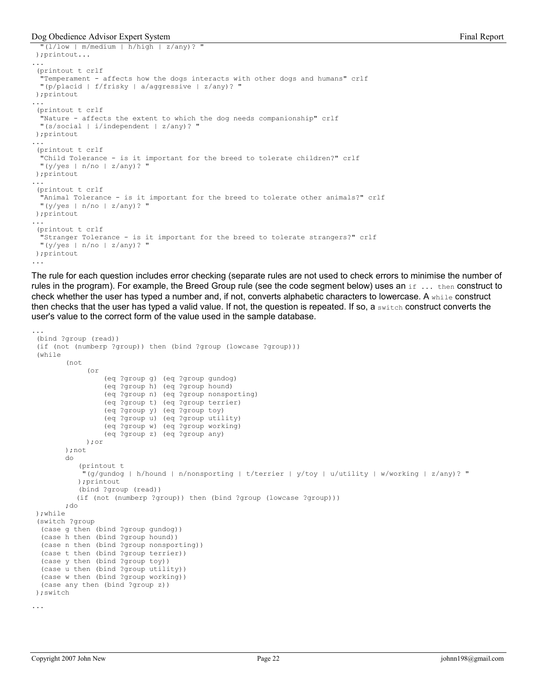#### Dog Obedience Advisor Expert System Final Report System Final Report

```
" (1/low \mid m/medium \mid h/high \mid z/any)? );printout... 
... 
  (printout t crlf 
   "Temperament - affects how the dogs interacts with other dogs and humans" crlf 
  "(p/placid | f/frisky | a/aggressive | z/any)? " 
 );printout 
... 
  (printout t crlf 
   "Nature - affects the extent to which the dog needs companionship" crlf 
  "(s/social | i/independent | z/any)? " 
 );printout 
... 
 (printout t crlf 
   "Child Tolerance - is it important for the breed to tolerate children?" crlf 
  "(y/yes | n/no | z/any)? " 
 );printout 
... 
  (printout t crlf 
   "Animal Tolerance - is it important for the breed to tolerate other animals?" crlf 
  "(y/yes | n/no | z/any)? " 
 );printout 
... 
  (printout t crlf 
   "Stranger Tolerance - is it important for the breed to tolerate strangers?" crlf 
 "(y/yes | n/no | z/any)? "
 );printout 
...
```
The rule for each question includes error checking (separate rules are not used to check errors to minimise the number of rules in the program). For example, the Breed Group rule (see the code segment below) uses an  $if \ldots then$  construct to check whether the user has typed a number and, if not, converts alphabetic characters to lowercase. A while construct then checks that the user has typed a valid value. If not, the question is repeated. If so, a switch construct converts the user's value to the correct form of the value used in the sample database.

```
... 
 (bind ?group (read)) 
  (if (not (numberp ?group)) then (bind ?group (lowcase ?group))) 
 (while 
         (not 
               (or 
                   (eq ?group g) (eq ?group gundog) 
                   (eq ?group h) (eq ?group hound) 
                   (eq ?group n) (eq ?group nonsporting) 
                   (eq ?group t) (eq ?group terrier) 
                   (eq ?group y) (eq ?group toy) 
                   (eq ?group u) (eq ?group utility) 
                   (eq ?group w) (eq ?group working) 
                   (eq ?group z) (eq ?group any) 
               );or 
         );not 
         do 
             (printout t 
              "(g/gundog | h/hound | n/nonsporting | t/terrier | y/toy | u/utility | w/working | z/any)? " 
            );printout 
             (bind ?group (read)) 
            (if (not (numberp ?group)) then (bind ?group (lowcase ?group))) 
         ;do 
 );while 
  (switch ?group 
   (case g then (bind ?group gundog)) 
   (case h then (bind ?group hound)) 
   (case n then (bind ?group nonsporting)) 
  (case t then (bind ?group terrier)) 
   (case y then (bind ?group toy)) 
   (case u then (bind ?group utility)) 
   (case w then (bind ?group working)) 
   (case any then (bind ?group z)) 
 );switch 
...
```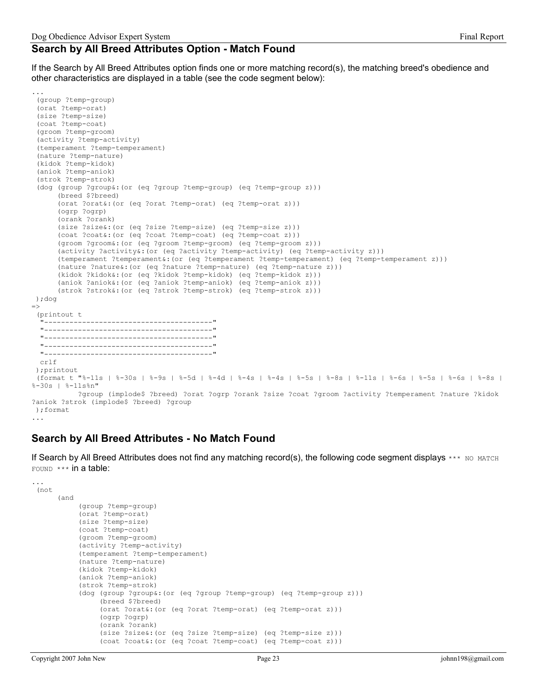### Search by All Breed Attributes Option - Match Found

If the Search by All Breed Attributes option finds one or more matching record(s), the matching breed's obedience and other characteristics are displayed in a table (see the code segment below):

```
 (group ?temp-group) 
  (orat ?temp-orat) 
  (size ?temp-size) 
  (coat ?temp-coat) 
  (groom ?temp-groom) 
  (activity ?temp-activity) 
  (temperament ?temp-temperament) 
  (nature ?temp-nature) 
  (kidok ?temp-kidok) 
  (aniok ?temp-aniok) 
  (strok ?temp-strok) 
  (dog (group ?group&:(or (eq ?group ?temp-group) (eq ?temp-group z))) 
       (breed $?breed) 
       (orat ?orat&:(or (eq ?orat ?temp-orat) (eq ?temp-orat z))) 
       (ogrp ?ogrp) 
       (orank ?orank) 
       (size ?size&:(or (eq ?size ?temp-size) (eq ?temp-size z))) 
       (coat ?coat&:(or (eq ?coat ?temp-coat) (eq ?temp-coat z))) 
       (groom ?groom&:(or (eq ?groom ?temp-groom) (eq ?temp-groom z))) 
       (activity ?activity&:(or (eq ?activity ?temp-activity) (eq ?temp-activity z))) 
       (temperament ?temperament&:(or (eq ?temperament ?temp-temperament) (eq ?temp-temperament z))) 
       (nature ?nature&:(or (eq ?nature ?temp-nature) (eq ?temp-nature z))) 
       (kidok ?kidok&:(or (eq ?kidok ?temp-kidok) (eq ?temp-kidok z))) 
       (aniok ?aniok&:(or (eq ?aniok ?temp-aniok) (eq ?temp-aniok z))) 
       (strok ?strok&:(or (eq ?strok ?temp-strok) (eq ?temp-strok z))) 
  );dog 
\Rightarrow (printout t 
    "----------------------------------------" 
   "----------------------------------------" 
   "----------------------------------------" 
   "----------------------------------------" 
   "----------------------------------------" 
  crlf 
  );printout 
  (format t "%-11s | %-30s | %-9s | %-5d | %-4d | %-4s | %-4s | %-5s | %-8s | %-11s | %-6s | %-5s | %-6s | %-8s | 
%-30s | %-11s%n" 
            ?group (implode$ ?breed) ?orat ?ogrp ?orank ?size ?coat ?groom ?activity ?temperament ?nature ?kidok 
?aniok ?strok (implode$ ?breed) ?group 
 );format
```
#### ...

...

### Search by All Breed Attributes - No Match Found

If Search by All Breed Attributes does not find any matching record(s), the following code segment displays \*\*\* NO MATCH FOUND \*\*\* in a table:

```
... 
 (not 
       (and 
             (group ?temp-group) 
             (orat ?temp-orat) 
             (size ?temp-size) 
             (coat ?temp-coat) 
             (groom ?temp-groom) 
             (activity ?temp-activity) 
             (temperament ?temp-temperament) 
             (nature ?temp-nature) 
             (kidok ?temp-kidok) 
             (aniok ?temp-aniok) 
             (strok ?temp-strok) 
             (dog (group ?group&:(or (eq ?group ?temp-group) (eq ?temp-group z))) 
                  (breed $?breed) 
                  (orat ?orat&:(or (eq ?orat ?temp-orat) (eq ?temp-orat z))) 
                  (ogrp ?ogrp) 
                  (orank ?orank) 
                  (size ?size&:(or (eq ?size ?temp-size) (eq ?temp-size z))) 
                  (coat ?coat&:(or (eq ?coat ?temp-coat) (eq ?temp-coat z)))
```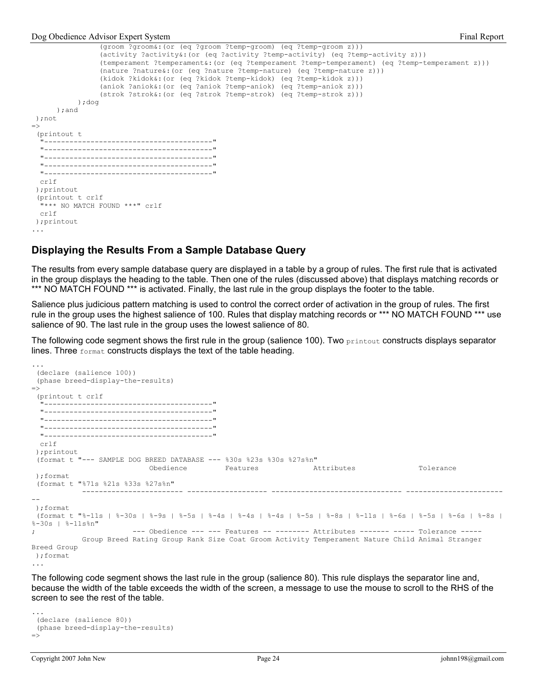```
 (groom ?groom&:(or (eq ?groom ?temp-groom) (eq ?temp-groom z))) 
                  (activity ?activity&:(or (eq ?activity ?temp-activity) (eq ?temp-activity z))) 
                  (temperament ?temperament&:(or (eq ?temperament ?temp-temperament) (eq ?temp-temperament z))) 
                  (nature ?nature&:(or (eq ?nature ?temp-nature) (eq ?temp-nature z))) 
                  (kidok ?kidok&:(or (eq ?kidok ?temp-kidok) (eq ?temp-kidok z))) 
                  (aniok ?aniok&:(or (eq ?aniok ?temp-aniok) (eq ?temp-aniok z))) 
                  (strok ?strok&:(or (eq ?strok ?temp-strok) (eq ?temp-strok z))) 
            );dog 
       );and 
 );not 
\Rightarrow (printout t 
   "----------------------------------------" 
   "----------------------------------------" 
   "----------------------------------------" 
   "----------------------------------------" 
  "------------------------------------
   crlf 
  );printout 
  (printout t crlf 
   "*** NO MATCH FOUND ***" crlf 
   crlf 
  );printout 
...
```
### Displaying the Results From a Sample Database Query

The results from every sample database query are displayed in a table by a group of rules. The first rule that is activated in the group displays the heading to the table. Then one of the rules (discussed above) that displays matching records or \*\*\* NO MATCH FOUND \*\*\* is activated. Finally, the last rule in the group displays the footer to the table.

Salience plus judicious pattern matching is used to control the correct order of activation in the group of rules. The first rule in the group uses the highest salience of 100. Rules that display matching records or \*\*\* NO MATCH FOUND \*\*\* use salience of 90. The last rule in the group uses the lowest salience of 80.

The following code segment shows the first rule in the group (salience 100). Two printout constructs displays separator lines. Three format constructs displays the text of the table heading.

```
 (declare (salience 100)) 
  (phase breed-display-the-results) 
\Rightarrow (printout t crlf 
   "----------------------------------------" 
     --------------------------------------
   "----------------------------------------" 
   "----------------------------------------" 
   "----------------------------------------" 
   crlf 
  );printout 
  (format t "--- SAMPLE DOG BREED DATABASE --- %30s %23s %30s %27s%n" 
                            Obedience Features Attributes Tolerance 
  );format 
  (format t "%71s %21s %33s %27s%n" 
             ------------------------ ------------------- ------------------------------- -----------------------
-- 
 );format 
  (format t "%-11s | %-30s | %-9s | %-5s | %-4s | %-4s | %-4s | %-5s | %-8s | %-11s | %-6s | %-5s | %-6s | %-8s | 
%-30s | %-11s%n" 
; example 1 = -- Obedience --- --- Features -- ------- Attributes ------ ---- Tolerance -----
             Group Breed Rating Group Rank Size Coat Groom Activity Temperament Nature Child Animal Stranger 
Breed Group 
 );format 
...
```
The following code segment shows the last rule in the group (salience 80). This rule displays the separator line and, because the width of the table exceeds the width of the screen, a message to use the mouse to scroll to the RHS of the screen to see the rest of the table.

```
... 
  (declare (salience 80)) 
  (phase breed-display-the-results) 
\Rightarrow
```
...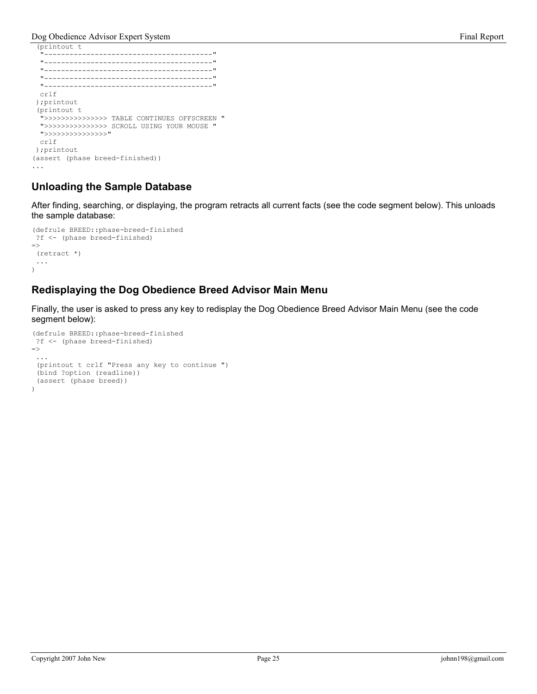Dog Obedience Advisor Expert System Final Report System Final Report Final Report

```
 (printout t 
  "----------------------------------------" 
  "----------------------------------------" 
  "----------------------------------------" 
  "----------------------------------------" 
  "----------------------------------------" 
  crlf 
 );printout 
  (printout t 
   ">>>>>>>>>>>>>>> TABLE CONTINUES OFFSCREEN " 
  ">>>>>>>>>>>>>>> SCROLL USING YOUR MOUSE " 
  ">>>>>>>>>>>>>>>" 
  crlf 
 );printout 
(assert (phase breed-finished)) 
...
```
## Unloading the Sample Database

After finding, searching, or displaying, the program retracts all current facts (see the code segment below). This unloads the sample database:

```
(defrule BREED::phase-breed-finished 
  ?f <- (phase breed-finished) 
\Rightarrow (retract *) 
  ... 
\lambda
```
## Redisplaying the Dog Obedience Breed Advisor Main Menu

Finally, the user is asked to press any key to redisplay the Dog Obedience Breed Advisor Main Menu (see the code segment below):

```
(defrule BREED::phase-breed-finished 
 ?f <- (phase breed-finished) 
=> 
  ... 
  (printout t crlf "Press any key to continue ") 
  (bind ?option (readline)) 
  (assert (phase breed)) 
\lambda
```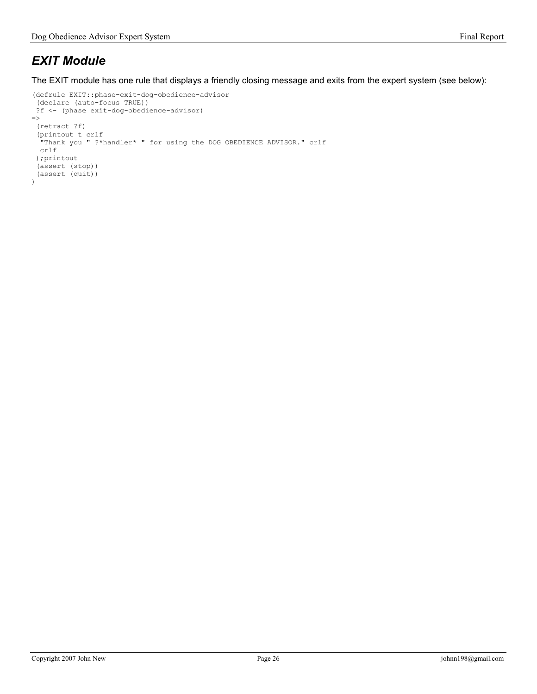# EXIT Module

The EXIT module has one rule that displays a friendly closing message and exits from the expert system (see below):

```
(defrule EXIT::phase-exit-dog-obedience-advisor 
  (declare (auto-focus TRUE)) 
  ?f <- (phase exit-dog-obedience-advisor) 
\Rightarrow (retract ?f) 
 (printout t crlf 
 "Thank you " ?*handler* " for using the DOG OBEDIENCE ADVISOR." crlf 
  crlf 
  );printout 
  (assert (stop)) 
  (assert (quit)) 
\lambda
```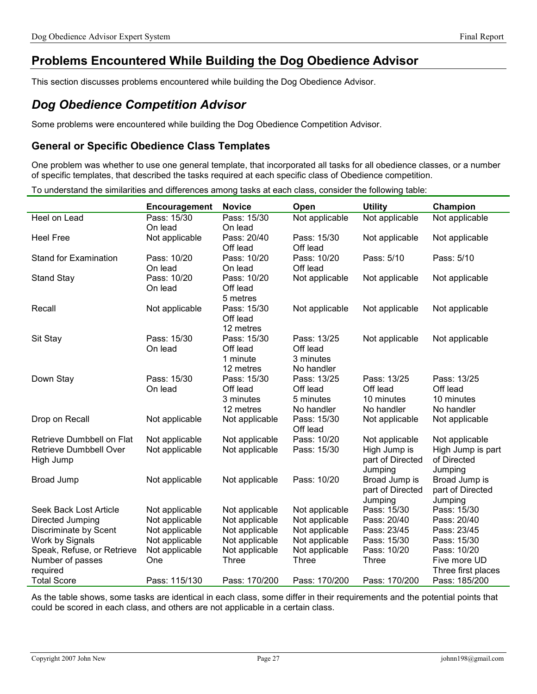# Problems Encountered While Building the Dog Obedience Advisor

This section discusses problems encountered while building the Dog Obedience Advisor.

# Dog Obedience Competition Advisor

Some problems were encountered while building the Dog Obedience Competition Advisor.

### General or Specific Obedience Class Templates

One problem was whether to use one general template, that incorporated all tasks for all obedience classes, or a number of specific templates, that described the tasks required at each specific class of Obedience competition.

To understand the similarities and differences among tasks at each class, consider the following table:

|                                                                  | Encouragement                    | <b>Novice</b>                                     | Open                                               | <b>Utility</b>                                                | Champion                                                      |
|------------------------------------------------------------------|----------------------------------|---------------------------------------------------|----------------------------------------------------|---------------------------------------------------------------|---------------------------------------------------------------|
| Heel on Lead                                                     | Pass: 15/30<br>On lead           | Pass: 15/30<br>On lead                            | Not applicable                                     | Not applicable                                                | Not applicable                                                |
| <b>Heel Free</b>                                                 | Not applicable                   | Pass: 20/40<br>Off lead                           | Pass: 15/30<br>Off lead                            | Not applicable                                                | Not applicable                                                |
| <b>Stand for Examination</b>                                     | Pass: 10/20<br>On lead           | Pass: 10/20<br>On lead                            | Pass: 10/20<br>Off lead                            | Pass: 5/10                                                    | Pass: 5/10                                                    |
| <b>Stand Stay</b>                                                | Pass: 10/20<br>On lead           | Pass: 10/20<br>Off lead<br>5 metres               | Not applicable                                     | Not applicable                                                | Not applicable                                                |
| Recall                                                           | Not applicable                   | Pass: 15/30<br>Off lead<br>12 metres              | Not applicable                                     | Not applicable                                                | Not applicable                                                |
| Sit Stay                                                         | Pass: 15/30<br>On lead           | Pass: 15/30<br>Off lead<br>1 minute<br>12 metres  | Pass: 13/25<br>Off lead<br>3 minutes<br>No handler | Not applicable                                                | Not applicable                                                |
| Down Stay                                                        | Pass: 15/30<br>On lead           | Pass: 15/30<br>Off lead<br>3 minutes<br>12 metres | Pass: 13/25<br>Off lead<br>5 minutes<br>No handler | Pass: 13/25<br>Off lead<br>10 minutes<br>No handler           | Pass: 13/25<br>Off lead<br>10 minutes<br>No handler           |
| Drop on Recall                                                   | Not applicable                   | Not applicable                                    | Pass: 15/30<br>Off lead                            | Not applicable                                                | Not applicable                                                |
| Retrieve Dumbbell on Flat<br>Retrieve Dumbbell Over<br>High Jump | Not applicable<br>Not applicable | Not applicable<br>Not applicable                  | Pass: 10/20<br>Pass: 15/30                         | Not applicable<br>High Jump is<br>part of Directed<br>Jumping | Not applicable<br>High Jump is part<br>of Directed<br>Jumping |
| Broad Jump                                                       | Not applicable                   | Not applicable                                    | Pass: 10/20                                        | Broad Jump is<br>part of Directed<br>Jumping                  | Broad Jump is<br>part of Directed<br>Jumping                  |
| Seek Back Lost Article                                           | Not applicable                   | Not applicable                                    | Not applicable                                     | Pass: 15/30                                                   | Pass: 15/30                                                   |
| Directed Jumping                                                 | Not applicable                   | Not applicable                                    | Not applicable                                     | Pass: 20/40                                                   | Pass: 20/40                                                   |
| Discriminate by Scent                                            | Not applicable                   | Not applicable                                    | Not applicable                                     | Pass: 23/45                                                   | Pass: 23/45                                                   |
| Work by Signals                                                  | Not applicable                   | Not applicable                                    | Not applicable                                     | Pass: 15/30                                                   | Pass: 15/30                                                   |
| Speak, Refuse, or Retrieve                                       | Not applicable                   | Not applicable                                    | Not applicable                                     | Pass: 10/20                                                   | Pass: 10/20                                                   |
| Number of passes                                                 | One                              | Three                                             | Three                                              | <b>Three</b>                                                  | Five more UD                                                  |
| required                                                         |                                  |                                                   |                                                    |                                                               | Three first places                                            |
| <b>Total Score</b>                                               | Pass: 115/130                    | Pass: 170/200                                     | Pass: 170/200                                      | Pass: 170/200                                                 | Pass: 185/200                                                 |

As the table shows, some tasks are identical in each class, some differ in their requirements and the potential points that could be scored in each class, and others are not applicable in a certain class.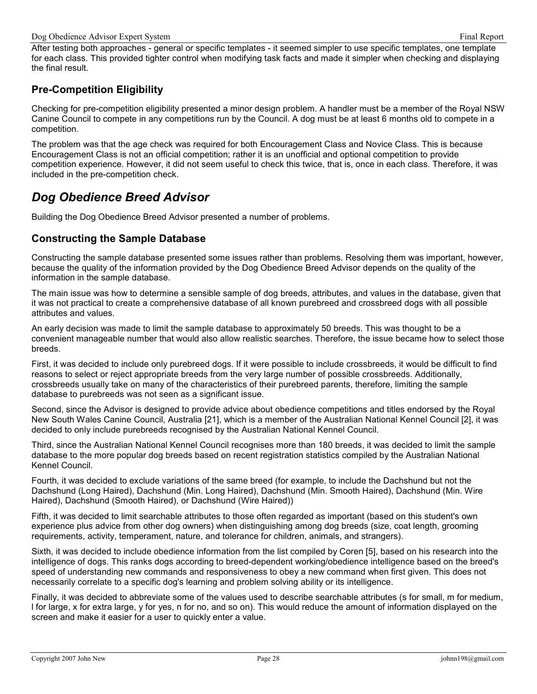After testing both approaches - general or specific templates - it seemed simpler to use specific templates, one template for each class. This provided tighter control when modifying task facts and made it simpler when checking and displaying the final result.

## Pre-Competition Eligibility

Checking for pre-competition eligibility presented a minor design problem. A handler must be a member of the Royal NSW Canine Council to compete in any competitions run by the Council. A dog must be at least 6 months old to compete in a competition.

The problem was that the age check was required for both Encouragement Class and Novice Class. This is because Encouragement Class is not an official competition; rather it is an unofficial and optional competition to provide competition experience. However, it did not seem useful to check this twice, that is, once in each class. Therefore, it was included in the pre-competition check.

# Dog Obedience Breed Advisor

Building the Dog Obedience Breed Advisor presented a number of problems.

## Constructing the Sample Database

Constructing the sample database presented some issues rather than problems. Resolving them was important, however, because the quality of the information provided by the Dog Obedience Breed Advisor depends on the quality of the information in the sample database.

The main issue was how to determine a sensible sample of dog breeds, attributes, and values in the database, given that it was not practical to create a comprehensive database of all known purebreed and crossbreed dogs with all possible attributes and values.

An early decision was made to limit the sample database to approximately 50 breeds. This was thought to be a convenient manageable number that would also allow realistic searches. Therefore, the issue became how to select those breeds.

First, it was decided to include only purebreed dogs. If it were possible to include crossbreeds, it would be difficult to find reasons to select or reject appropriate breeds from the very large number of possible crossbreeds. Additionally, crossbreeds usually take on many of the characteristics of their purebreed parents, therefore, limiting the sample database to purebreeds was not seen as a significant issue.

Second, since the Advisor is designed to provide advice about obedience competitions and titles endorsed by the Royal New South Wales Canine Council, Australia [21], which is a member of the Australian National Kennel Council [2], it was decided to only include purebreeds recognised by the Australian National Kennel Council.

Third, since the Australian National Kennel Council recognises more than 180 breeds, it was decided to limit the sample database to the more popular dog breeds based on recent registration statistics compiled by the Australian National Kennel Council.

Fourth, it was decided to exclude variations of the same breed (for example, to include the Dachshund but not the Dachshund (Long Haired), Dachshund (Min. Long Haired), Dachshund (Min. Smooth Haired), Dachshund (Min. Wire Haired), Dachshund (Smooth Haired), or Dachshund (Wire Haired))

Fifth, it was decided to limit searchable attributes to those often regarded as important (based on this student's own experience plus advice from other dog owners) when distinguishing among dog breeds (size, coat length, grooming requirements, activity, temperament, nature, and tolerance for children, animals, and strangers).

Sixth, it was decided to include obedience information from the list compiled by Coren [5], based on his research into the intelligence of dogs. This ranks dogs according to breed-dependent working/obedience intelligence based on the breed's speed of understanding new commands and responsiveness to obey a new command when first given. This does not necessarily correlate to a specific dog's learning and problem solving ability or its intelligence.

Finally, it was decided to abbreviate some of the values used to describe searchable attributes (s for small, m for medium, l for large, x for extra large, y for yes, n for no, and so on). This would reduce the amount of information displayed on the screen and make it easier for a user to quickly enter a value.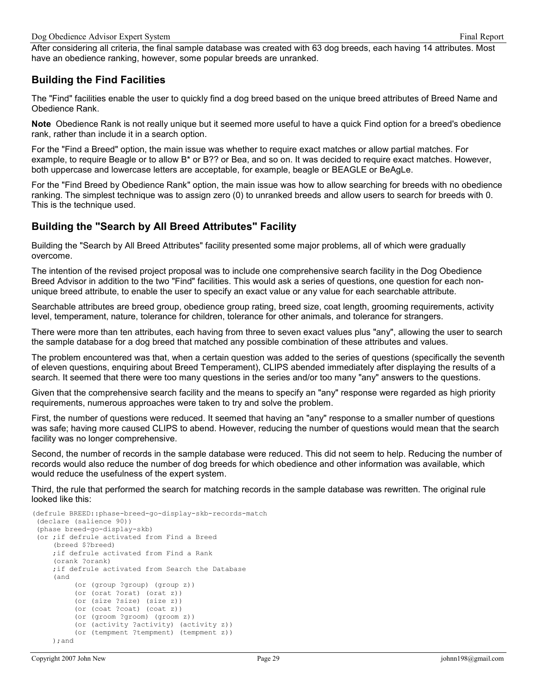After considering all criteria, the final sample database was created with 63 dog breeds, each having 14 attributes. Most have an obedience ranking, however, some popular breeds are unranked.

## Building the Find Facilities

The "Find" facilities enable the user to quickly find a dog breed based on the unique breed attributes of Breed Name and Obedience Rank.

Note Obedience Rank is not really unique but it seemed more useful to have a quick Find option for a breed's obedience rank, rather than include it in a search option.

For the "Find a Breed" option, the main issue was whether to require exact matches or allow partial matches. For example, to require Beagle or to allow B\* or B?? or Bea, and so on. It was decided to require exact matches. However, both uppercase and lowercase letters are acceptable, for example, beagle or BEAGLE or BeAgLe.

For the "Find Breed by Obedience Rank" option, the main issue was how to allow searching for breeds with no obedience ranking. The simplest technique was to assign zero (0) to unranked breeds and allow users to search for breeds with 0. This is the technique used.

## Building the "Search by All Breed Attributes" Facility

Building the "Search by All Breed Attributes" facility presented some major problems, all of which were gradually overcome.

The intention of the revised project proposal was to include one comprehensive search facility in the Dog Obedience Breed Advisor in addition to the two "Find" facilities. This would ask a series of questions, one question for each nonunique breed attribute, to enable the user to specify an exact value or any value for each searchable attribute.

Searchable attributes are breed group, obedience group rating, breed size, coat length, grooming requirements, activity level, temperament, nature, tolerance for children, tolerance for other animals, and tolerance for strangers.

There were more than ten attributes, each having from three to seven exact values plus "any", allowing the user to search the sample database for a dog breed that matched any possible combination of these attributes and values.

The problem encountered was that, when a certain question was added to the series of questions (specifically the seventh of eleven questions, enquiring about Breed Temperament), CLIPS abended immediately after displaying the results of a search. It seemed that there were too many questions in the series and/or too many "any" answers to the questions.

Given that the comprehensive search facility and the means to specify an "any" response were regarded as high priority requirements, numerous approaches were taken to try and solve the problem.

First, the number of questions were reduced. It seemed that having an "any" response to a smaller number of questions was safe; having more caused CLIPS to abend. However, reducing the number of questions would mean that the search facility was no longer comprehensive.

Second, the number of records in the sample database were reduced. This did not seem to help. Reducing the number of records would also reduce the number of dog breeds for which obedience and other information was available, which would reduce the usefulness of the expert system.

Third, the rule that performed the search for matching records in the sample database was rewritten. The original rule looked like this:

```
(defrule BREED::phase-breed-go-display-skb-records-match 
  (declare (salience 90)) 
  (phase breed-go-display-skb) 
  (or ;if defrule activated from Find a Breed 
      (breed $?breed) 
      ;if defrule activated from Find a Rank 
      (orank ?orank) 
      ;if defrule activated from Search the Database
      (and 
           (or (group ?group) (group z)) 
           (or (orat ?orat) (orat z)) 
           (or (size ?size) (size z)) 
           (or (coat ?coat) (coat z)) 
           (or (groom ?groom) (groom z)) 
           (or (activity ?activity) (activity z)) 
           (or (tempment ?tempment) (tempment z)) 
      );and
```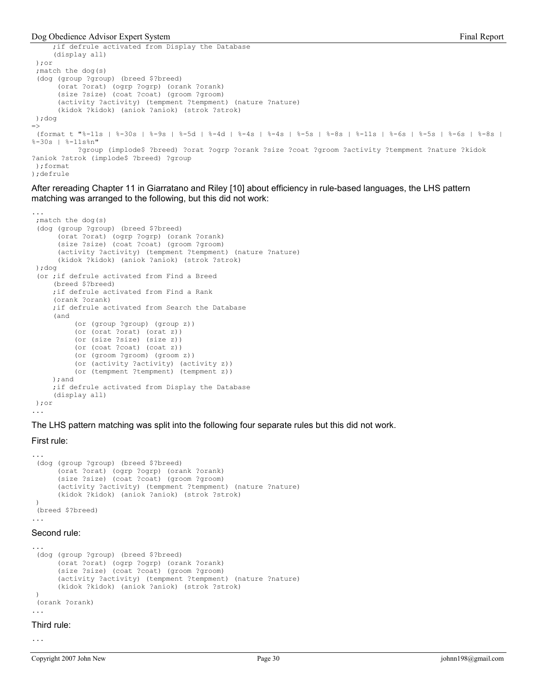#### Dog Obedience Advisor Expert System Final Report System Final Report

```
 ;if defrule activated from Display the Database 
      (display all) 
  );or 
 ; match the dog(s)
  (dog (group ?group) (breed $?breed) 
       (orat ?orat) (ogrp ?ogrp) (orank ?orank) 
       (size ?size) (coat ?coat) (groom ?groom) 
       (activity ?activity) (tempment ?tempment) (nature ?nature) 
       (kidok ?kidok) (aniok ?aniok) (strok ?strok) 
 );dog 
\Rightarrow (format t "%-11s | %-30s | %-9s | %-5d | %-4d | %-4s | %-4s | %-5s | %-8s | %-11s | %-6s | %-5s | %-6s | %-8s | 
%-30s | %-11s%n" 
            ?group (implode$ ?breed) ?orat ?ogrp ?orank ?size ?coat ?groom ?activity ?tempment ?nature ?kidok 
?aniok ?strok (implode$ ?breed) ?group 
  );format 
);defrule
```
After rereading Chapter 11 in Giarratano and Riley [10] about efficiency in rule-based languages, the LHS pattern matching was arranged to the following, but this did not work:

```
... 
; match the dog(s)
  (dog (group ?group) (breed $?breed) 
       (orat ?orat) (ogrp ?ogrp) (orank ?orank) 
       (size ?size) (coat ?coat) (groom ?groom) 
       (activity ?activity) (tempment ?tempment) (nature ?nature) 
       (kidok ?kidok) (aniok ?aniok) (strok ?strok) 
 );dog 
  (or ;if defrule activated from Find a Breed 
      (breed $?breed) 
      ;if defrule activated from Find a Rank 
      (orank ?orank) 
      ;if defrule activated from Search the Database
      (and 
           (or (group ?group) (group z)) 
           (or (orat ?orat) (orat z)) 
           (or (size ?size) (size z)) 
           (or (coat ?coat) (coat z)) 
           (or (groom ?groom) (groom z)) 
           (or (activity ?activity) (activity z)) 
           (or (tempment ?tempment) (tempment z)) 
      );and 
      ;if defrule activated from Display the Database 
      (display all) 
 );or 
...
```
The LHS pattern matching was split into the following four separate rules but this did not work.

### First rule:

```
 (dog (group ?group) (breed $?breed) 
      (orat ?orat) (ogrp ?ogrp) (orank ?orank) 
      (size ?size) (coat ?coat) (groom ?groom) 
      (activity ?activity) (tempment ?tempment) (nature ?nature) 
      (kidok ?kidok) (aniok ?aniok) (strok ?strok) 
 ) 
 (breed $?breed)
```
#### Second rule:

...

```
... 
 (dog (group ?group) (breed $?breed) 
       (orat ?orat) (ogrp ?ogrp) (orank ?orank) 
       (size ?size) (coat ?coat) (groom ?groom) 
       (activity ?activity) (tempment ?tempment) (nature ?nature) 
       (kidok ?kidok) (aniok ?aniok) (strok ?strok) 
 ) 
 (orank ?orank) 
...
```
Third rule:

...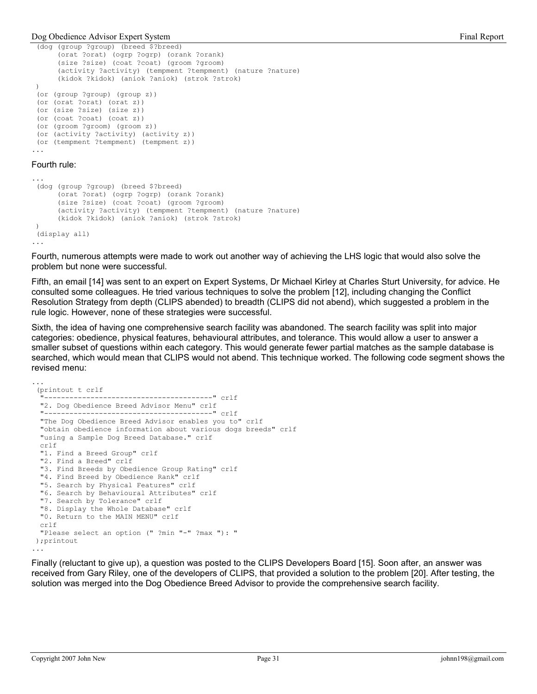```
 (dog (group ?group) (breed $?breed) 
       (orat ?orat) (ogrp ?ogrp) (orank ?orank) 
       (size ?size) (coat ?coat) (groom ?groom) 
       (activity ?activity) (tempment ?tempment) (nature ?nature) 
       (kidok ?kidok) (aniok ?aniok) (strok ?strok) 
 ) 
  (or (group ?group) (group z)) 
  (or (orat ?orat) (orat z)) 
  (or (size ?size) (size z)) 
 (or (coat ?coat) (coat z)) 
  (or (groom ?groom) (groom z)) 
 (or (activity ?activity) (activity z)) 
 (or (tempment ?tempment) (tempment z)) 
...
```
#### Fourth rule:

```
... 
 (dog (group ?group) (breed $?breed) 
       (orat ?orat) (ogrp ?ogrp) (orank ?orank) 
       (size ?size) (coat ?coat) (groom ?groom) 
       (activity ?activity) (tempment ?tempment) (nature ?nature) 
       (kidok ?kidok) (aniok ?aniok) (strok ?strok) 
 ) 
 (display all) 
...
```
Fourth, numerous attempts were made to work out another way of achieving the LHS logic that would also solve the problem but none were successful.

Fifth, an email [14] was sent to an expert on Expert Systems, Dr Michael Kirley at Charles Sturt University, for advice. He consulted some colleagues. He tried various techniques to solve the problem [12], including changing the Conflict Resolution Strategy from depth (CLIPS abended) to breadth (CLIPS did not abend), which suggested a problem in the rule logic. However, none of these strategies were successful.

Sixth, the idea of having one comprehensive search facility was abandoned. The search facility was split into major categories: obedience, physical features, behavioural attributes, and tolerance. This would allow a user to answer a smaller subset of questions within each category. This would generate fewer partial matches as the sample database is searched, which would mean that CLIPS would not abend. This technique worked. The following code segment shows the revised menu:

```
... 
 (printout t crlf 
   "----------------------------------------" crlf 
  "2. Dog Obedience Breed Advisor Menu" crlf 
  "----------------------------------------" crlf 
  "The Dog Obedience Breed Advisor enables you to" crlf 
  "obtain obedience information about various dogs breeds" crlf 
  "using a Sample Dog Breed Database." crlf 
  crlf 
  "1. Find a Breed Group" crlf 
  "2. Find a Breed" crlf 
  "3. Find Breeds by Obedience Group Rating" crlf 
  "4. Find Breed by Obedience Rank" crlf 
  "5. Search by Physical Features" crlf 
  "6. Search by Behavioural Attributes" crlf 
  "7. Search by Tolerance" crlf 
  "8. Display the Whole Database" crlf 
  "0. Return to the MAIN MENU" crlf 
  crlf 
   "Please select an option (" ?min "-" ?max "): " 
 );printout 
...
```
Finally (reluctant to give up), a question was posted to the CLIPS Developers Board [15]. Soon after, an answer was received from Gary Riley, one of the developers of CLIPS, that provided a solution to the problem [20]. After testing, the solution was merged into the Dog Obedience Breed Advisor to provide the comprehensive search facility.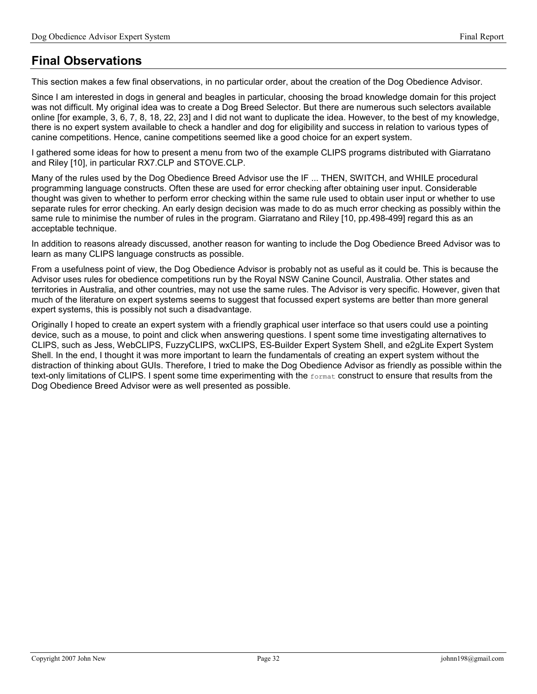# Final Observations

This section makes a few final observations, in no particular order, about the creation of the Dog Obedience Advisor.

Since I am interested in dogs in general and beagles in particular, choosing the broad knowledge domain for this project was not difficult. My original idea was to create a Dog Breed Selector. But there are numerous such selectors available online [for example, 3, 6, 7, 8, 18, 22, 23] and I did not want to duplicate the idea. However, to the best of my knowledge, there is no expert system available to check a handler and dog for eligibility and success in relation to various types of canine competitions. Hence, canine competitions seemed like a good choice for an expert system.

I gathered some ideas for how to present a menu from two of the example CLIPS programs distributed with Giarratano and Riley [10], in particular RX7.CLP and STOVE.CLP.

Many of the rules used by the Dog Obedience Breed Advisor use the IF ... THEN, SWITCH, and WHILE procedural programming language constructs. Often these are used for error checking after obtaining user input. Considerable thought was given to whether to perform error checking within the same rule used to obtain user input or whether to use separate rules for error checking. An early design decision was made to do as much error checking as possibly within the same rule to minimise the number of rules in the program. Giarratano and Riley [10, pp.498-499] regard this as an acceptable technique.

In addition to reasons already discussed, another reason for wanting to include the Dog Obedience Breed Advisor was to learn as many CLIPS language constructs as possible.

From a usefulness point of view, the Dog Obedience Advisor is probably not as useful as it could be. This is because the Advisor uses rules for obedience competitions run by the Royal NSW Canine Council, Australia. Other states and territories in Australia, and other countries, may not use the same rules. The Advisor is very specific. However, given that much of the literature on expert systems seems to suggest that focussed expert systems are better than more general expert systems, this is possibly not such a disadvantage.

Originally I hoped to create an expert system with a friendly graphical user interface so that users could use a pointing device, such as a mouse, to point and click when answering questions. I spent some time investigating alternatives to CLIPS, such as Jess, WebCLIPS, FuzzyCLIPS, wxCLIPS, ES-Builder Expert System Shell, and e2gLite Expert System Shell. In the end, I thought it was more important to learn the fundamentals of creating an expert system without the distraction of thinking about GUIs. Therefore, I tried to make the Dog Obedience Advisor as friendly as possible within the text-only limitations of CLIPS. I spent some time experimenting with the format construct to ensure that results from the Dog Obedience Breed Advisor were as well presented as possible.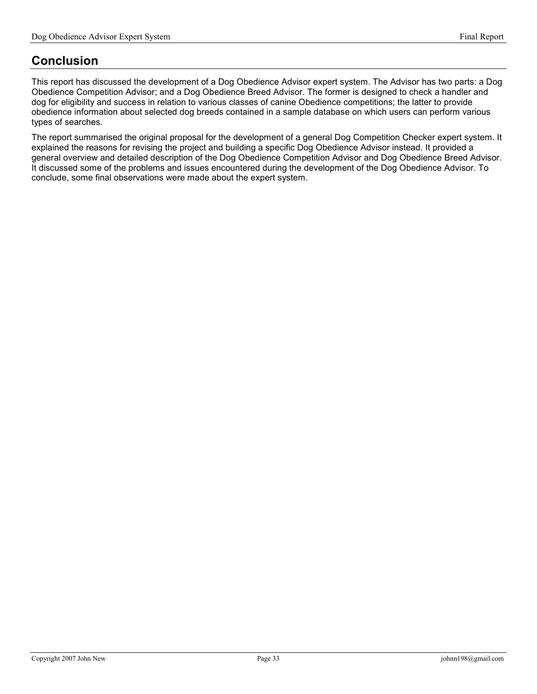# Conclusion

This report has discussed the development of a Dog Obedience Advisor expert system. The Advisor has two parts: a Dog Obedience Competition Advisor; and a Dog Obedience Breed Advisor. The former is designed to check a handler and dog for eligibility and success in relation to various classes of canine Obedience competitions; the latter to provide obedience information about selected dog breeds contained in a sample database on which users can perform various types of searches.

The report summarised the original proposal for the development of a general Dog Competition Checker expert system. It explained the reasons for revising the project and building a specific Dog Obedience Advisor instead. It provided a general overview and detailed description of the Dog Obedience Competition Advisor and Dog Obedience Breed Advisor. It discussed some of the problems and issues encountered during the development of the Dog Obedience Advisor. To conclude, some final observations were made about the expert system.